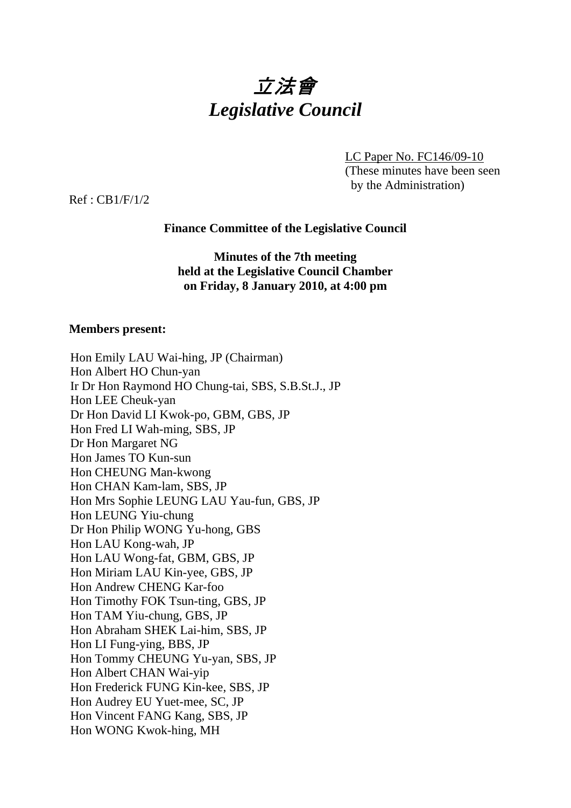

LC Paper No. FC146/09-10 (These minutes have been seen by the Administration)

Ref : CB1/F/1/2

## **Finance Committee of the Legislative Council**

**Minutes of the 7th meeting held at the Legislative Council Chamber on Friday, 8 January 2010, at 4:00 pm** 

### **Members present:**

| Hon Emily LAU Wai-hing, JP (Chairman)              |
|----------------------------------------------------|
| Hon Albert HO Chun-yan                             |
| Ir Dr Hon Raymond HO Chung-tai, SBS, S.B.St.J., JP |
| Hon LEE Cheuk-yan                                  |
| Dr Hon David LI Kwok-po, GBM, GBS, JP              |
| Hon Fred LI Wah-ming, SBS, JP                      |
| Dr Hon Margaret NG                                 |
| Hon James TO Kun-sun                               |
| Hon CHEUNG Man-kwong                               |
| Hon CHAN Kam-lam, SBS, JP                          |
| Hon Mrs Sophie LEUNG LAU Yau-fun, GBS, JP          |
| Hon LEUNG Yiu-chung                                |
| Dr Hon Philip WONG Yu-hong, GBS                    |
| Hon LAU Kong-wah, JP                               |
| Hon LAU Wong-fat, GBM, GBS, JP                     |
| Hon Miriam LAU Kin-yee, GBS, JP                    |
| Hon Andrew CHENG Kar-foo                           |
| Hon Timothy FOK Tsun-ting, GBS, JP                 |
| Hon TAM Yiu-chung, GBS, JP                         |
| Hon Abraham SHEK Lai-him, SBS, JP                  |
| Hon LI Fung-ying, BBS, JP                          |
| Hon Tommy CHEUNG Yu-yan, SBS, JP                   |
| Hon Albert CHAN Wai-yip                            |
| Hon Frederick FUNG Kin-kee, SBS, JP                |
| Hon Audrey EU Yuet-mee, SC, JP                     |
| Hon Vincent FANG Kang, SBS, JP                     |
| Hon WONG Kwok-hing, MH                             |
|                                                    |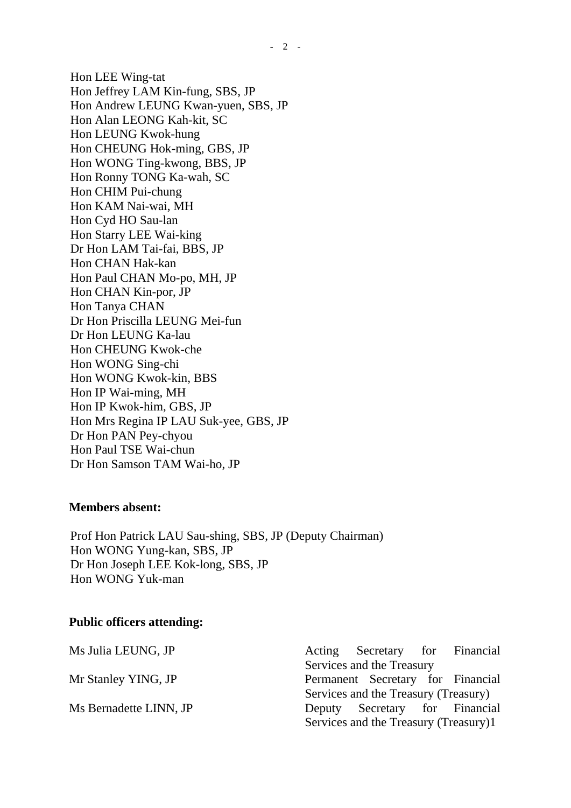Hon LEE Wing-tat Hon Jeffrey LAM Kin-fung, SBS, JP Hon Andrew LEUNG Kwan-yuen, SBS, JP Hon Alan LEONG Kah-kit, SC Hon LEUNG Kwok-hung Hon CHEUNG Hok-ming, GBS, JP Hon WONG Ting-kwong, BBS, JP Hon Ronny TONG Ka-wah, SC Hon CHIM Pui-chung Hon KAM Nai-wai, MH Hon Cyd HO Sau-lan Hon Starry LEE Wai-king Dr Hon LAM Tai-fai, BBS, JP Hon CHAN Hak-kan Hon Paul CHAN Mo-po, MH, JP Hon CHAN Kin-por, JP Hon Tanya CHAN Dr Hon Priscilla LEUNG Mei-fun Dr Hon LEUNG Ka-lau Hon CHEUNG Kwok-che Hon WONG Sing-chi Hon WONG Kwok-kin, BBS Hon IP Wai-ming, MH Hon IP Kwok-him, GBS, JP Hon Mrs Regina IP LAU Suk-yee, GBS, JP Dr Hon PAN Pey-chyou Hon Paul TSE Wai-chun Dr Hon Samson TAM Wai-ho, JP

#### **Members absent:**

Prof Hon Patrick LAU Sau-shing, SBS, JP (Deputy Chairman) Hon WONG Yung-kan, SBS, JP Dr Hon Joseph LEE Kok-long, SBS, JP Hon WONG Yuk-man

#### **Public officers attending:**

Ms Julia LEUNG, JP Acting Secretary for Financial Services and the Treasury Mr Stanley YING, JP Permanent Secretary for Financial Services and the Treasury (Treasury) Ms Bernadette LINN, JP Deputy Secretary for Financial Services and the Treasury (Treasury)1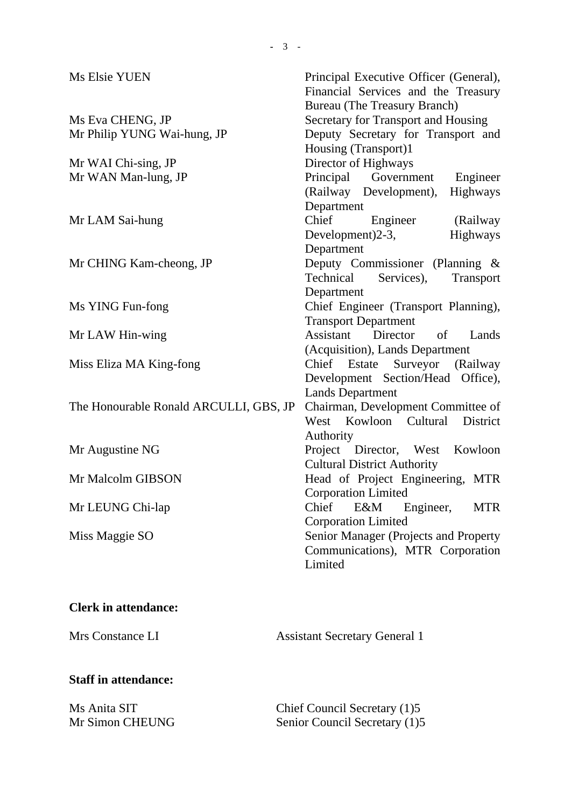| Secretary for Transport and Housing<br>Ms Eva CHENG, JP<br>Deputy Secretary for Transport and<br>Mr Philip YUNG Wai-hung, JP<br>Housing (Transport)1<br>Director of Highways<br>Mr WAI Chi-sing, JP<br>Principal Government<br>Mr WAN Man-lung, JP<br>Engineer<br>Highways<br>(Railway Development),<br>Department<br>Chief<br>(Railway<br>Engineer<br>Mr LAM Sai-hung<br>Development)2-3,<br>Highways<br>Department<br>Deputy Commissioner (Planning &<br>Mr CHING Kam-cheong, JP<br>Technical<br>Services),<br>Transport<br>Department<br>Chief Engineer (Transport Planning),<br>Ms YING Fun-fong<br><b>Transport Department</b><br>Assistant Director of<br>Lands<br>Mr LAW Hin-wing<br>(Acquisition), Lands Department<br>Chief Estate Surveyor (Railway<br>Miss Eliza MA King-fong<br>Development Section/Head Office),<br><b>Lands Department</b><br>Chairman, Development Committee of<br>The Honourable Ronald ARCULLI, GBS, JP<br>West Kowloon Cultural<br>District<br>Authority<br>Project Director, West Kowloon<br>Mr Augustine NG<br><b>Cultural District Authority</b><br>Head of Project Engineering, MTR<br>Mr Malcolm GIBSON<br><b>Corporation Limited</b><br>Mr LEUNG Chi-lap<br>Chief<br>E&M Engineer,<br><b>MTR</b><br><b>Corporation Limited</b><br>Miss Maggie SO<br>Senior Manager (Projects and Property | Ms Elsie YUEN | Principal Executive Officer (General),<br>Financial Services and the Treasury<br><b>Bureau</b> (The Treasury Branch) |
|-----------------------------------------------------------------------------------------------------------------------------------------------------------------------------------------------------------------------------------------------------------------------------------------------------------------------------------------------------------------------------------------------------------------------------------------------------------------------------------------------------------------------------------------------------------------------------------------------------------------------------------------------------------------------------------------------------------------------------------------------------------------------------------------------------------------------------------------------------------------------------------------------------------------------------------------------------------------------------------------------------------------------------------------------------------------------------------------------------------------------------------------------------------------------------------------------------------------------------------------------------------------------------------------------------------------------------------|---------------|----------------------------------------------------------------------------------------------------------------------|
|                                                                                                                                                                                                                                                                                                                                                                                                                                                                                                                                                                                                                                                                                                                                                                                                                                                                                                                                                                                                                                                                                                                                                                                                                                                                                                                                   |               |                                                                                                                      |
|                                                                                                                                                                                                                                                                                                                                                                                                                                                                                                                                                                                                                                                                                                                                                                                                                                                                                                                                                                                                                                                                                                                                                                                                                                                                                                                                   |               |                                                                                                                      |
|                                                                                                                                                                                                                                                                                                                                                                                                                                                                                                                                                                                                                                                                                                                                                                                                                                                                                                                                                                                                                                                                                                                                                                                                                                                                                                                                   |               |                                                                                                                      |
|                                                                                                                                                                                                                                                                                                                                                                                                                                                                                                                                                                                                                                                                                                                                                                                                                                                                                                                                                                                                                                                                                                                                                                                                                                                                                                                                   |               |                                                                                                                      |
|                                                                                                                                                                                                                                                                                                                                                                                                                                                                                                                                                                                                                                                                                                                                                                                                                                                                                                                                                                                                                                                                                                                                                                                                                                                                                                                                   |               |                                                                                                                      |
|                                                                                                                                                                                                                                                                                                                                                                                                                                                                                                                                                                                                                                                                                                                                                                                                                                                                                                                                                                                                                                                                                                                                                                                                                                                                                                                                   |               |                                                                                                                      |
|                                                                                                                                                                                                                                                                                                                                                                                                                                                                                                                                                                                                                                                                                                                                                                                                                                                                                                                                                                                                                                                                                                                                                                                                                                                                                                                                   |               |                                                                                                                      |
|                                                                                                                                                                                                                                                                                                                                                                                                                                                                                                                                                                                                                                                                                                                                                                                                                                                                                                                                                                                                                                                                                                                                                                                                                                                                                                                                   |               |                                                                                                                      |
|                                                                                                                                                                                                                                                                                                                                                                                                                                                                                                                                                                                                                                                                                                                                                                                                                                                                                                                                                                                                                                                                                                                                                                                                                                                                                                                                   |               |                                                                                                                      |
|                                                                                                                                                                                                                                                                                                                                                                                                                                                                                                                                                                                                                                                                                                                                                                                                                                                                                                                                                                                                                                                                                                                                                                                                                                                                                                                                   |               |                                                                                                                      |
|                                                                                                                                                                                                                                                                                                                                                                                                                                                                                                                                                                                                                                                                                                                                                                                                                                                                                                                                                                                                                                                                                                                                                                                                                                                                                                                                   |               |                                                                                                                      |
|                                                                                                                                                                                                                                                                                                                                                                                                                                                                                                                                                                                                                                                                                                                                                                                                                                                                                                                                                                                                                                                                                                                                                                                                                                                                                                                                   |               |                                                                                                                      |
|                                                                                                                                                                                                                                                                                                                                                                                                                                                                                                                                                                                                                                                                                                                                                                                                                                                                                                                                                                                                                                                                                                                                                                                                                                                                                                                                   |               |                                                                                                                      |
|                                                                                                                                                                                                                                                                                                                                                                                                                                                                                                                                                                                                                                                                                                                                                                                                                                                                                                                                                                                                                                                                                                                                                                                                                                                                                                                                   |               |                                                                                                                      |
|                                                                                                                                                                                                                                                                                                                                                                                                                                                                                                                                                                                                                                                                                                                                                                                                                                                                                                                                                                                                                                                                                                                                                                                                                                                                                                                                   |               |                                                                                                                      |
|                                                                                                                                                                                                                                                                                                                                                                                                                                                                                                                                                                                                                                                                                                                                                                                                                                                                                                                                                                                                                                                                                                                                                                                                                                                                                                                                   |               |                                                                                                                      |
|                                                                                                                                                                                                                                                                                                                                                                                                                                                                                                                                                                                                                                                                                                                                                                                                                                                                                                                                                                                                                                                                                                                                                                                                                                                                                                                                   |               |                                                                                                                      |
|                                                                                                                                                                                                                                                                                                                                                                                                                                                                                                                                                                                                                                                                                                                                                                                                                                                                                                                                                                                                                                                                                                                                                                                                                                                                                                                                   |               |                                                                                                                      |
|                                                                                                                                                                                                                                                                                                                                                                                                                                                                                                                                                                                                                                                                                                                                                                                                                                                                                                                                                                                                                                                                                                                                                                                                                                                                                                                                   |               |                                                                                                                      |
|                                                                                                                                                                                                                                                                                                                                                                                                                                                                                                                                                                                                                                                                                                                                                                                                                                                                                                                                                                                                                                                                                                                                                                                                                                                                                                                                   |               |                                                                                                                      |
|                                                                                                                                                                                                                                                                                                                                                                                                                                                                                                                                                                                                                                                                                                                                                                                                                                                                                                                                                                                                                                                                                                                                                                                                                                                                                                                                   |               |                                                                                                                      |
|                                                                                                                                                                                                                                                                                                                                                                                                                                                                                                                                                                                                                                                                                                                                                                                                                                                                                                                                                                                                                                                                                                                                                                                                                                                                                                                                   |               |                                                                                                                      |
|                                                                                                                                                                                                                                                                                                                                                                                                                                                                                                                                                                                                                                                                                                                                                                                                                                                                                                                                                                                                                                                                                                                                                                                                                                                                                                                                   |               |                                                                                                                      |
|                                                                                                                                                                                                                                                                                                                                                                                                                                                                                                                                                                                                                                                                                                                                                                                                                                                                                                                                                                                                                                                                                                                                                                                                                                                                                                                                   |               |                                                                                                                      |
|                                                                                                                                                                                                                                                                                                                                                                                                                                                                                                                                                                                                                                                                                                                                                                                                                                                                                                                                                                                                                                                                                                                                                                                                                                                                                                                                   |               |                                                                                                                      |
|                                                                                                                                                                                                                                                                                                                                                                                                                                                                                                                                                                                                                                                                                                                                                                                                                                                                                                                                                                                                                                                                                                                                                                                                                                                                                                                                   |               |                                                                                                                      |
|                                                                                                                                                                                                                                                                                                                                                                                                                                                                                                                                                                                                                                                                                                                                                                                                                                                                                                                                                                                                                                                                                                                                                                                                                                                                                                                                   |               |                                                                                                                      |
|                                                                                                                                                                                                                                                                                                                                                                                                                                                                                                                                                                                                                                                                                                                                                                                                                                                                                                                                                                                                                                                                                                                                                                                                                                                                                                                                   |               |                                                                                                                      |
|                                                                                                                                                                                                                                                                                                                                                                                                                                                                                                                                                                                                                                                                                                                                                                                                                                                                                                                                                                                                                                                                                                                                                                                                                                                                                                                                   |               |                                                                                                                      |
| Communications), MTR Corporation                                                                                                                                                                                                                                                                                                                                                                                                                                                                                                                                                                                                                                                                                                                                                                                                                                                                                                                                                                                                                                                                                                                                                                                                                                                                                                  |               |                                                                                                                      |
| Limited                                                                                                                                                                                                                                                                                                                                                                                                                                                                                                                                                                                                                                                                                                                                                                                                                                                                                                                                                                                                                                                                                                                                                                                                                                                                                                                           |               |                                                                                                                      |

# **Clerk in attendance:**

Mrs Constance LI Assistant Secretary General 1

# **Staff in attendance:**

| Ms Anita SIT    | Chief Council Secretary (1)5  |
|-----------------|-------------------------------|
| Mr Simon CHEUNG | Senior Council Secretary (1)5 |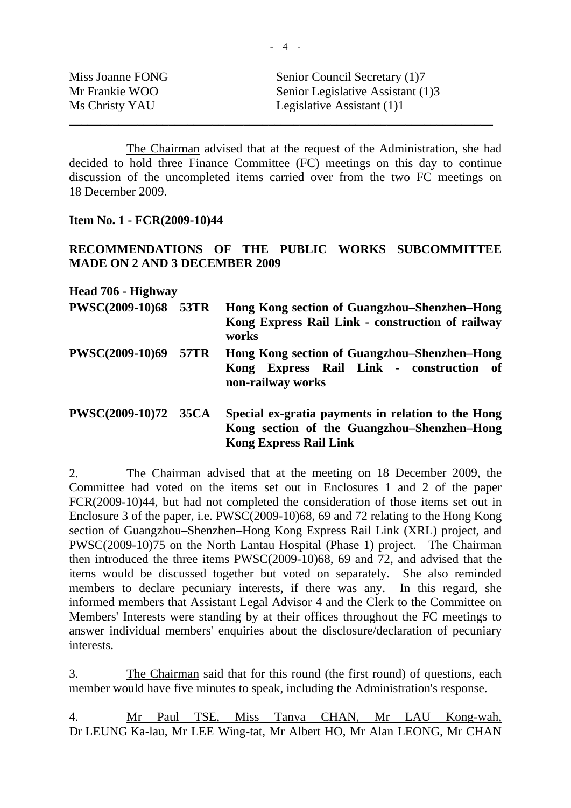| Miss Joanne FONG | Senior Council Secretary (1)7     |
|------------------|-----------------------------------|
| Mr Frankie WOO   | Senior Legislative Assistant (1)3 |
| Ms Christy YAU   | Legislative Assistant $(1)1$      |
|                  |                                   |

 The Chairman advised that at the request of the Administration, she had decided to hold three Finance Committee (FC) meetings on this day to continue discussion of the uncompleted items carried over from the two FC meetings on 18 December 2009.

### **Item No. 1 - FCR(2009-10)44**

## **RECOMMENDATIONS OF THE PUBLIC WORKS SUBCOMMITTEE MADE ON 2 AND 3 DECEMBER 2009**

**Head 706 - Highway** 

| PWSC(2009-10)68 53TR   |             | Hong Kong section of Guangzhou–Shenzhen–Hong<br>Kong Express Rail Link - construction of railway<br>works     |
|------------------------|-------------|---------------------------------------------------------------------------------------------------------------|
| <b>PWSC(2009-10)69</b> | <b>57TR</b> | Hong Kong section of Guangzhou–Shenzhen–Hong<br>Kong Express Rail Link - construction of<br>non-railway works |
| PWSC(2009-10)72 35CA   |             | Special ex-gratia payments in relation to the Hong<br>Kong section of the Guangzhou-Shenzhen-Hong             |

**Kong Express Rail Link** 

2. The Chairman advised that at the meeting on 18 December 2009, the Committee had voted on the items set out in Enclosures 1 and 2 of the paper FCR(2009-10)44, but had not completed the consideration of those items set out in Enclosure 3 of the paper, i.e. PWSC(2009-10)68, 69 and 72 relating to the Hong Kong section of Guangzhou–Shenzhen–Hong Kong Express Rail Link (XRL) project, and PWSC(2009-10)75 on the North Lantau Hospital (Phase 1) project. The Chairman then introduced the three items PWSC(2009-10)68, 69 and 72, and advised that the items would be discussed together but voted on separately. She also reminded members to declare pecuniary interests, if there was any. In this regard, she informed members that Assistant Legal Advisor 4 and the Clerk to the Committee on Members' Interests were standing by at their offices throughout the FC meetings to answer individual members' enquiries about the disclosure/declaration of pecuniary interests.

3. The Chairman said that for this round (the first round) of questions, each member would have five minutes to speak, including the Administration's response.

4. Mr Paul TSE, Miss Tanya CHAN, Mr LAU Kong-wah, Dr LEUNG Ka-lau, Mr LEE Wing-tat, Mr Albert HO, Mr Alan LEONG, Mr CHAN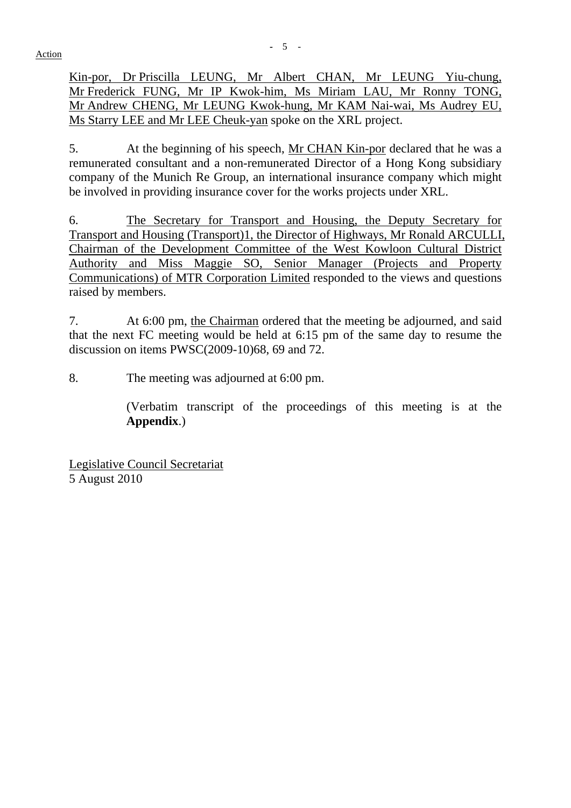Kin-por, Dr Priscilla LEUNG, Mr Albert CHAN, Mr LEUNG Yiu-chung, Mr Frederick FUNG, Mr IP Kwok-him, Ms Miriam LAU, Mr Ronny TONG, Mr Andrew CHENG, Mr LEUNG Kwok-hung, Mr KAM Nai-wai, Ms Audrey EU, Ms Starry LEE and Mr LEE Cheuk-yan spoke on the XRL project.

5. At the beginning of his speech, Mr CHAN Kin-por declared that he was a remunerated consultant and a non-remunerated Director of a Hong Kong subsidiary company of the Munich Re Group, an international insurance company which might be involved in providing insurance cover for the works projects under XRL.

6. The Secretary for Transport and Housing, the Deputy Secretary for Transport and Housing (Transport)1, the Director of Highways, Mr Ronald ARCULLI, Chairman of the Development Committee of the West Kowloon Cultural District Authority and Miss Maggie SO, Senior Manager (Projects and Property Communications) of MTR Corporation Limited responded to the views and questions raised by members.

7. At 6:00 pm, the Chairman ordered that the meeting be adjourned, and said that the next FC meeting would be held at 6:15 pm of the same day to resume the discussion on items PWSC(2009-10)68, 69 and 72.

8. The meeting was adjourned at 6:00 pm.

 (Verbatim transcript of the proceedings of this meeting is at the **Appendix**.)

Legislative Council Secretariat 5 August 2010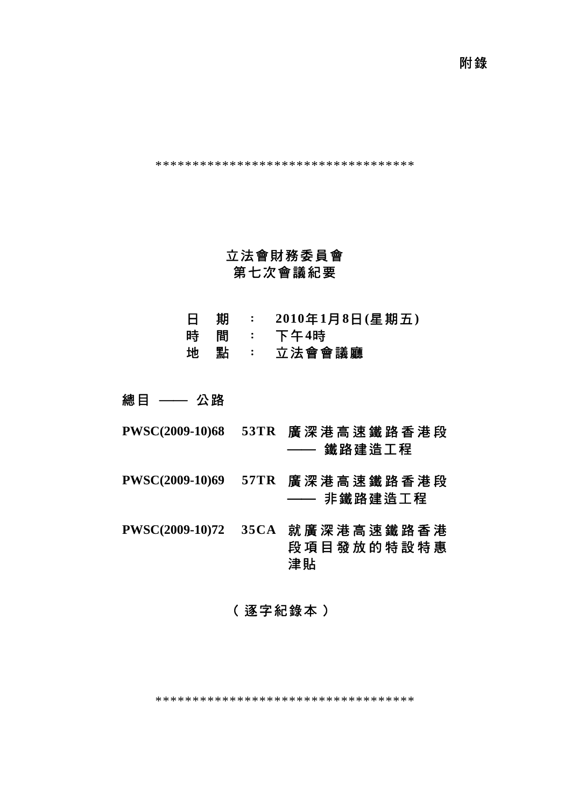附錄

\*\*\*\*\*\*\*\*\*\*\*\*\*\*\*\*\*\*\*\*\*\*\*\*\*\*\*\*\*\*\*\*\*\*\*

# 立法會財務委員會 第七次會議紀要

- 日 期 : **2010**年**1**月**8**日**(**星期五**)**
- 時 間 : 下午**4**時
- 地 點 : 立法會會議廳

總目 —— 公路

- **PWSC(2009-10)68 53TR** 廣深港高速鐵路香港段 —— 鐵路建造工程
- **PWSC(2009-10)69 57TR** 廣深港高速鐵路香港段 —— 非鐵路建造工程

**PWSC(2009-10)72 35CA** 就廣深港高速鐵路香港 段項目發放的特設特惠 津貼

# (逐字紀錄本)

\*\*\*\*\*\*\*\*\*\*\*\*\*\*\*\*\*\*\*\*\*\*\*\*\*\*\*\*\*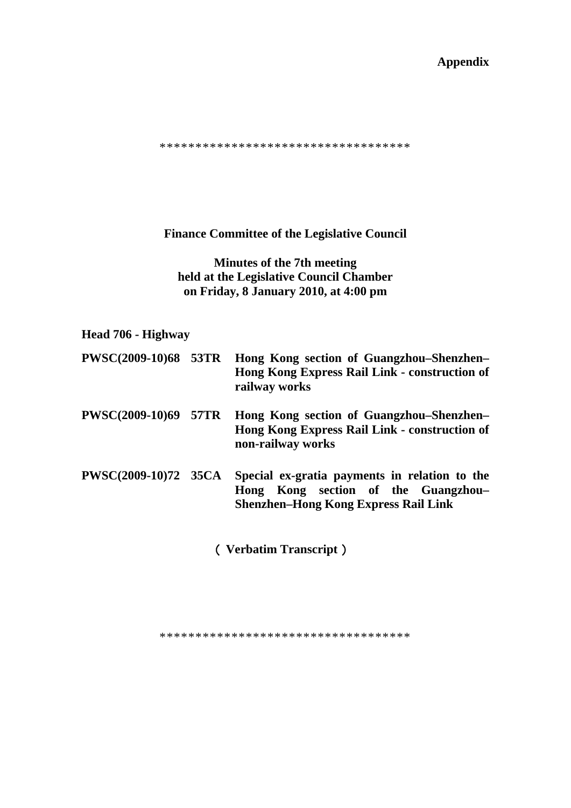**Appendix** 

\*\*\*\*\*\*\*\*\*\*\*\*\*\*\*\*\*\*\*\*\*\*\*\*\*\*\*\*\*\*\*\*\*\*\*

**Finance Committee of the Legislative Council** 

**Minutes of the 7th meeting held at the Legislative Council Chamber on Friday, 8 January 2010, at 4:00 pm** 

# **Head 706 - Highway**

| <b>PWSC(2009-10)68 53TR</b> | Hong Kong section of Guangzhou–Shenzhen–<br>Hong Kong Express Rail Link - construction of<br>railway works                          |
|-----------------------------|-------------------------------------------------------------------------------------------------------------------------------------|
| <b>PWSC(2009-10)69 57TR</b> | Hong Kong section of Guangzhou–Shenzhen–<br>Hong Kong Express Rail Link - construction of<br>non-railway works                      |
| <b>PWSC(2009-10)72 35CA</b> | Special ex-gratia payments in relation to the<br>Hong Kong section of the Guangzhou-<br><b>Shenzhen-Hong Kong Express Rail Link</b> |

(**Verbatim Transcript**)

\*\*\*\*\*\*\*\*\*\*\*\*\*\*\*\*\*\*\*\*\*\*\*\*\*\*\*\*\*\*\*\*\*\*\*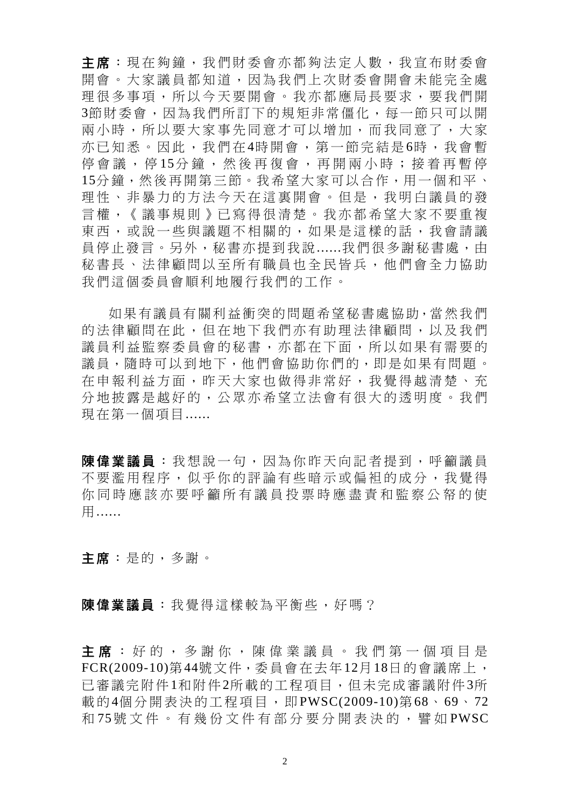主席:現在夠鐘,我們財委會亦都夠法定人數,我宣布財委會 開會。大家議員都知道,因為我們上次財委會開會未能完全處 理很多事項,所以今天要開會。我亦都應局長要求,要我們開 3節財委會,因為我們所訂下的規矩非常僵化,每一節只可以開 兩小時,所以要大家事先同意才可以增加,而我同意了,大家 亦已知悉。因此,我們在4時開會,第一節完結是6時,我會暫 停會議,停15分鐘,然後再復會,再開兩小時;接着再暫停 15分鐘,然後再開第三節。我希望大家可以合作,用一個和平、 理性、非暴力的方法今天在這裏開會。但是,我明白議員的發 言權,《議事規則》已寫得很清楚。我亦都希望大家不要重複 東西,或說一些與議題不相關的,如果是這樣的話,我會請議 員停止發言。另外,秘書亦提到我說......我們很多謝秘書處,由 秘書長、法律顧問以至所有職員也全民皆兵,他們會全力協助 我們這個委員會順利地履行我們的工作。

如果有議員有關利益衝突的問題希望秘書處協助,當然我們 的法律顧問在此,但在地下我們亦有助理法律顧問,以及我們 議員利益監察委員會的秘書,亦都在下面,所以如果有需要的 議員,隨時可以到地下,他們會協助你們的,即是如果有問題。 在申報利益方面,昨天大家也做得非常好,我覺得越清楚、充 分地披露是越好的,公眾亦希望立法會有很大的透明度。我們 現在第一個項目......

陳偉業議員 :我想說一句,因為你昨天向記者提到,呼籲議員 不要濫用程序,似乎你的評論有些暗示或偏袒的成分,我覺得 你同時應該亦要呼籲所有議員投票時應盡責和監察公帑的使 用......

主席:是的,多謝。

陳偉業議員:我覺得這樣較為平衡些,好嗎?

主席:好的,多謝你,陳偉業議員。我們第一個項目是 FCR(2009-10)第44號文件,委員會在去年12月18日的會議席上, 已審議完附件1和附件2所載的工程項目,但未完成審議附件3所 載的4個分開表決的工程項目,即PWSC(2009-10)第68、69、72 和 75號文件。有幾份文件有部分要分開表決的,譬如 PWSC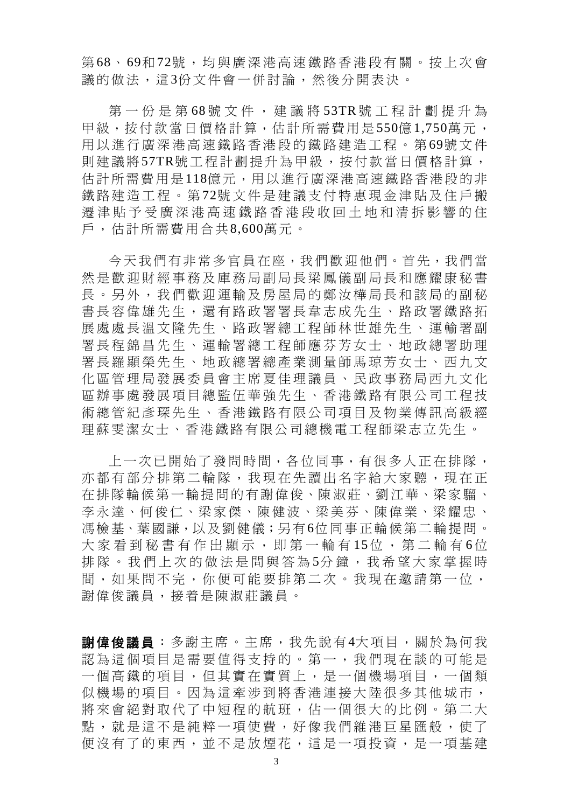第68、69和72號,域與廣深港高速鐵路香港段有關。按上次會 議的做法,這3份文件會一併討論,然後分開表決。

第一份是第68號文件,建議將 53TR號工程計劃提升為 甲級,按付款當日價格計算,估計所需費用是550億1,750萬元, 用以進行廣深港高速鐵路香港段的鐵路建造工程。第 69號文件 則建議將57TR號工程計劃提升為甲級,按付款當日價格計算, 估計所需費用是118億元,用以進行廣深港高速鐵路香港段的非 鐵路建造工程。第 72號文件是建議支付特惠現金津貼及住戶搬 遷津貼予受廣深港高速鐵路香港段收回土地和清拆影響的住 戶,估計所需費用合共8,600萬元。

今天我們有非常多官員在座,我們歡迎他們。首先,我們當 然是歡迎財經事務及庫務局副局長梁鳳儀副局長和應耀康秘書 長。另外,我們歡迎運輸及房屋局的鄭汝樺局長和該局的副秘 書長容偉雄先生,還有路政署署長韋志成先生、路政署鐵路拓 展處處長溫文隆先生、路政署總工程師林世雄先生、運輸署副 署長程錦昌先生、運輸署總工程師應芬芳女士、地政總署助理 署長羅顯榮先生、地政總署總產業測量師馬琼芳女士、西九文 化區管理局發展委員會主席夏佳理議員、民政事務局西九文化 區辦事處發展項目總監伍華強先生、香港鐵路有限公司工程技 術總管紀彥琛先生、香港鐵路有限公司項目及物業傳訊高級經 理蘇雯潔女士、香港鐵路有限公司總機電工程師梁志立先生。

上一次已開始了發問時間,各位同事,有很多人正在排隊, 亦都有部分排第二輪隊,我現在先讀出名字給大家聽,現在正 在排隊輪候第一輪提問的有謝偉俊、陳淑莊、劉江華、梁家騮、 李永達、何俊仁、梁家傑、陳健波、梁美芬、陳偉業、梁耀忠、 馮檢基、葉國謙,以及劉健儀;另有6位同事正輪候第二輪提問。 大家看到秘書有作出顯示,即第一輪有15位,第二輪有6位 排隊。我們上次的做法是問與答為5分鐘,我希望大家掌握時 間,如果問不完,你便可能要排第二次。我現在邀請第一位, 謝偉俊議員,接着是陳淑莊議員。

謝偉俊議員:多謝主席。主席,我先說有4大項目,關於為何我 認為這個項目是需要值得支持的。第一,我們現在談的可能是 一個高鐵的項目,但其實在實質上,是一個機場項目,一個類 似機場的項目。因為這牽涉到將香港連接大陸很多其他城市, 將來會絕對取代了中短程的航班,佔一個很大的比例。第二大 點,就是這不是純粹一項使費,好像我們維港巨星匯般,使了 便沒有了的東西,並不是放煙花,這是一項投資,是一項基建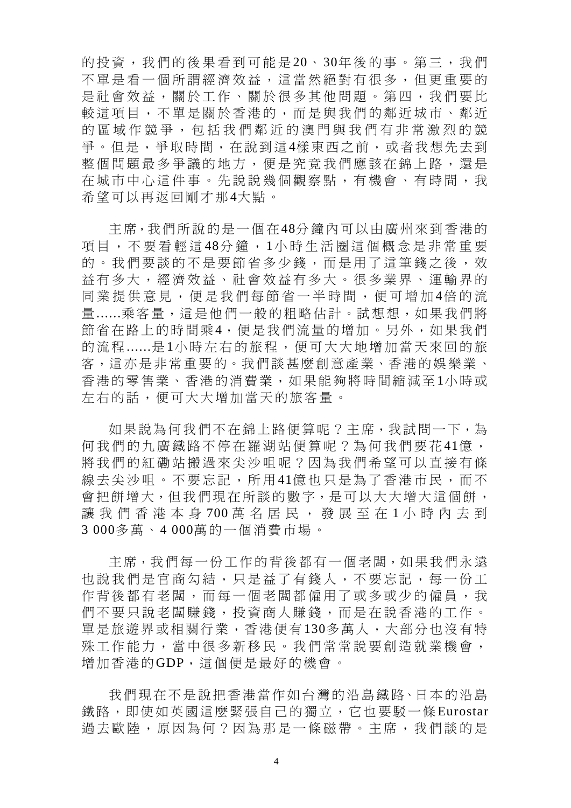的投資,我們的後果看到可能是20、30年後的事。第三,我們 不單是看一個所謂經濟效益,這當然絕對有很多,但更重要的 是社會效益,關於工作、關於很多其他問題。第四,我們要比 較這項目,不單是關於香港的,而是與我們的鄰近城市、鄰近 的區域作競爭,包括我們鄰近的澳門與我們有非常激烈的競 爭。但是,爭取時間,在說到這4樣東西之前,或者我想先去到 整個問題最多爭議的地方,便是究竟我們應該在錦上路,還是 在城市中心這件事。先說說幾個觀察點,有機會、有時間,我 希望可以再返回剛才那4大點。

主席,我們所說的是一個在48分鐘內可以由廣州來到香港的 項目,不要看輕這48分鐘,1小時生活圈這個概念是非常重要 的。我們要談的不是要節省多少錢,而是用了這筆錢之後,效 益有多大,經濟效益、社會效益有多大。很多業界、運輸界的 同業提供意見,便是我們每節省一半時間,便可增加4倍的流 量......乘客量,這是他們一般的粗略估計。試想想,如果我們將 節省在路上的時間乘4,便是我們流量的增加。另外,如果我們 的流程......是1小時左右的旅程,便可大大地增加當天來回的旅 客,這亦是非常重要的。我們談甚麼創意產業、香港的娛樂業、 香港的零售業、香港的消費業,如果能夠將時間縮減至1小時或 左右的話,便可大大增加當天的旅客量。

如果說為何我們不在錦上路便算呢?主席,我試問一下,為 何我們的九廣鐵路不停在羅湖站便算呢?為何我們要花41億, 將我們的紅磡站搬過來尖沙咀呢?因為我們希望可以直接有條 線去尖沙咀。不要忘記,所用41億也只是為了香港市民,而不 會把餅增大,但我們現在所談的數字,是可以大大增大這個餅, 讓我們香港本身 700萬名居民,發展至在 1 小時內去到 3 000多萬、4 000萬的一個消費市場。

主席,我們每一份工作的背後都有一個老闆,如果我們永遠 也說我們是官商勾結,只是益了有錢人,不要忘記,每一份工 作背後都有老闆,而每一個老闆都僱用了或多或少的僱員,我 們不要只說老闆賺錢,投資商人賺錢,而是在說香港的工作。 單是旅遊界或相關行業,香港便有130多萬人,大部分也沒有特 殊工作能力,當中很多新移民。我們常常說要創造就業機會, 增加香港的GDP,這個便是最好的機會。

我們現在不是說把香港當作如台灣的沿島鐵路、日本的沿島 鐵路,即使如英國這麼緊張自己的獨立,它也要駁一條Eurostar 過去歐陸,原因為何?因為那是一條磁帶。主席,我們談的是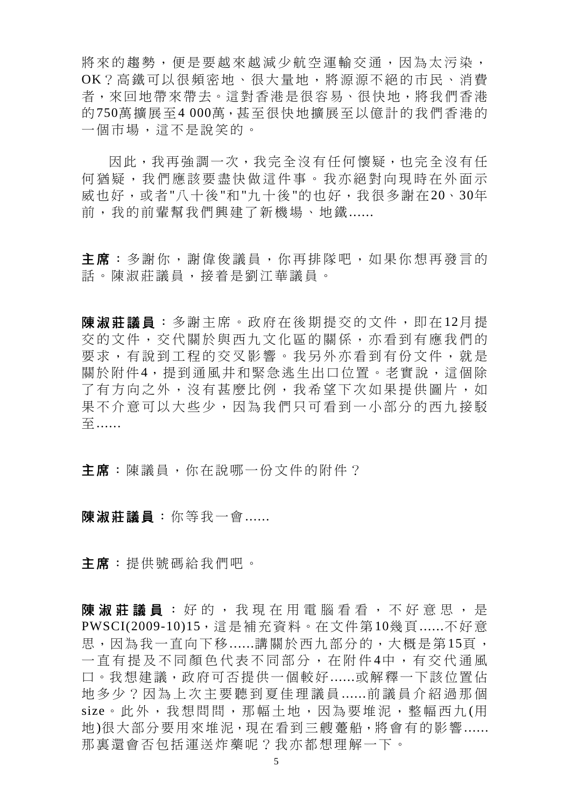將來的趨勢,便是要越來越減少航空運輸交通,因為太污染, OK?高鐵可以很頻密地、很大量地,將源源不絕的市民、消費 者,來回地帶來帶去。這對香港是很容易、很快地,將我們香港 的750萬擴展至4 000萬,甚至很快地擴展至以億計的我們香港的 一個市場,這不是說笑的。

因此,我再強調一次,我完全沒有任何懷疑,也完全沒有任 何猶疑,我們應該要盡快做這件事。我亦絕對向現時在外面示 威也好,或者"八十後"和"九十後"的也好,我很多謝在20、30年 前,我的前輩幫我們興建了新機場、地鐵......

主席:多謝你,謝偉俊議員,你再排隊吧,如果你想再發言的 話。陳淑莊議員,接着是劉江華議員。

陳淑莊議員 :多謝主席。政府在後期提交的文件,即在 12月 提 交的文件,交代關於與西九文化區的關係,亦看到有應我們的 要求,有說到工程的交叉影響。我另外亦看到有份文件,就是 關於附件4,提到通風井和緊急逃生出口位置。老實說,這個除 了有方向之外,沒有甚麼比例,我希望下次如果提供圖片,如 果不介意可以大些少,因為我們只可看到一小部分的西九接駁 至......

主席:陳議員,你在說哪一份文件的附件?

陳淑莊議員:你等我一會.......

主席:提供號碼給我們吧。

陳 淑 莊 議 員 : 好 的 , 我 現 在 用 電 腦 看 看 , 不 好 意 思 , 是 PWSCI(2009-10)15,這是補充資料。在文件第10幾頁......不好意 思,因為我一直向下移......講關於西九部分的,大概是第15頁, 一直有提及不同顏色代表不同部分,在附件 4中,有交代通風 口。我想建議,政府可否提供一個較好......或解釋一下該位置佔 地多少?因為上次主要聽到夏佳理議員 ......前議員介紹過那個 size。此外,我想問問,那幅土地,因為要堆泥,整幅西九 (用 地)很大部分要用來堆泥,現在看到三艘躉船,將會有的影響...... 那裏還會否包括運送炸藥呢?我亦都想理解一下。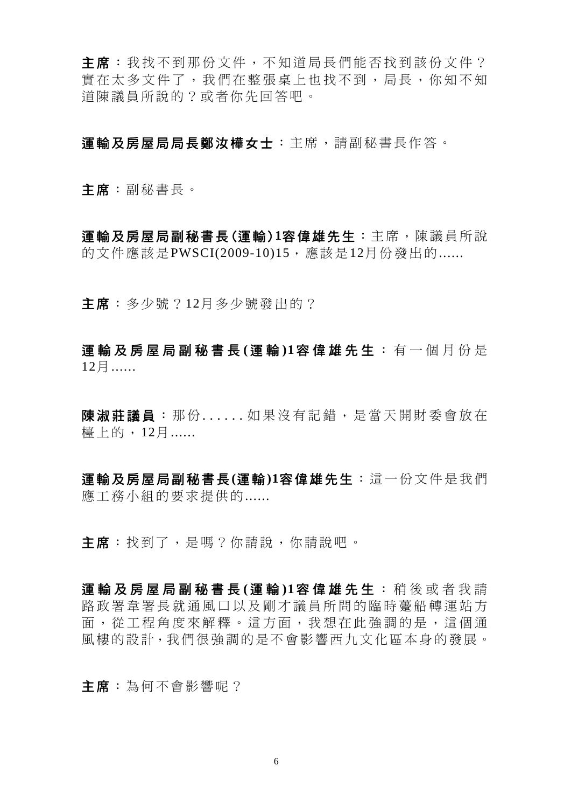主席:我找不到那份文件,不知道局長們能否找到該份文件? 實在太多文件了,我們在整張桌上也找不到,局長,你知不知 道陳議員所說的?或者你先回答吧。

運輸及房屋局局長鄭汝樺女士:主席,請副秘書長作答。

主席:副秘書長。

運輸及房屋局副秘書長(運輸)**1**容偉雄先生:主席,陳議員所說 的文件應該是PWSCI(2009-10)15,應該是12月份發出的......

主席:多少號?12月多少號發出的?

運輸及房屋局副秘書長 **(** 運 輸 **)1** 容偉雄先生 :有一個月份是 12月......

陳淑莊議員:那份 ......如果沒有記錯,是當天開財委會放在 檯上的,12月......

運輸及房屋局副秘書長**(**運輸**)1**容偉雄先生:這一份文件是我們 應工務小組的要求提供的......

主席:找到了,是嗎?你請說,你請說吧。

運輸及房屋局副秘書長(運輸)1容偉雄先生:稍後或者我請 路政署韋署長就通風口以及剛才議員所問的臨時躉船轉運站方 面,從工程角度來解釋。這方面,我想在此強調的是,這個通 風樓的設計,我們很強調的是不會影響西九文化區本身的發展。

主席:為何不會影響呢?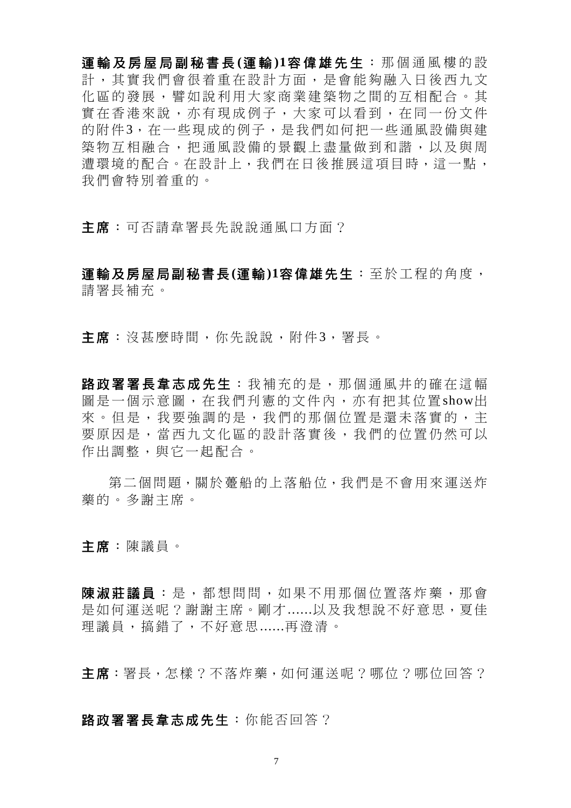運輸及房屋局副秘書長 **(**運 輸 **)1**容偉雄先生 :那個通風樓的設 計,其實我們會很着重在設計方面,是會能夠融入日後西九文 化區的發展,譬如說利用大家商業建築物之間的互相配合。其 實在香港來說,亦有現成例子,大家可以看到,在同一份文件 的附件3,在一些現成的例子,是我們如何把一些通風設備與建 築物互相融合,把通風設備的景觀上盡量做到和諧,以及與周 遭環境的配合。在設計上,我們在日後推展這項目時,這一點, 我們會特別着重的。

主席:可否請韋署長先說說通風口方面?

運輸及房屋局副秘書長**(**運輸**)1**容偉雄先生:至於工程的角度, 請署長補充。

主席:沒甚麼時間,你先說說,附件3,署長。

路政署署長韋志成先生:我補充的是,那個通風井的確在這幅 圖是一個示意圖,在我們刋憲的文件內,亦有把其位置show出 來。但是,我要強調的是,我們的那個位置是還未落實的,主 要原因是,當西九文化區的設計落實後,我們的位置仍然可以 作出調整,與它一起配合。

第二個問題,關於躉船的上落船位,我們是不會用來運送炸 藥的。多謝主席。

主席:陳議員。

陳淑莊議員:是, 都想問問, 如果不用那個位置落炸藥, 那會 是如何運送呢?謝謝主席。剛才......以及我想說不好意思,夏佳 理議員,搞錯了,不好意思......再澄清。

主席:署長,怎樣?不落炸藥,如何運送呢?哪位?哪位回答?

路政署署長韋志成先生:你能否回答?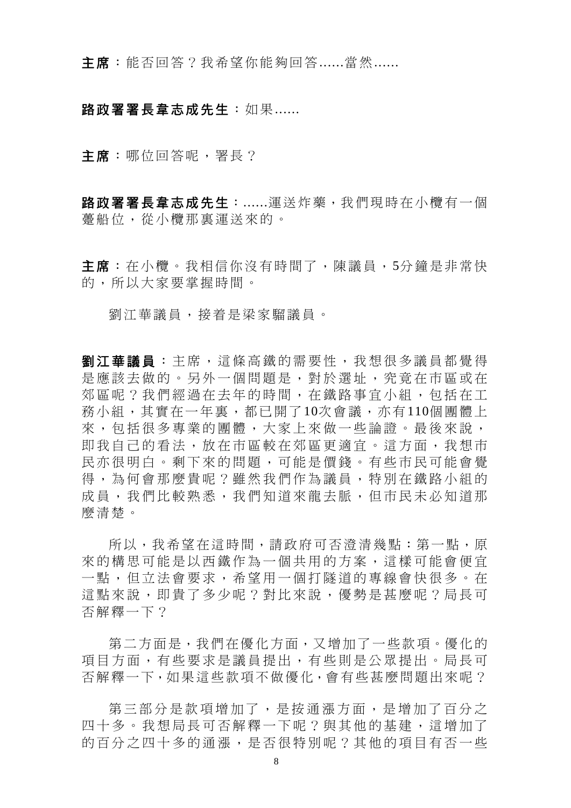主席: 能否回答?我希望你能夠回答......當然......

## 路政署署長韋志成先生: 如果......

主席:哪位回答呢,署長?

路政署署長韋志成先生:......運送炸藥,我們現時在小欖有一個 躉船位,從小欖那裏運送來的。

主席:在小欖。我相信你沒有時間了,陳議員,5分鐘是非常快 的,所以大家要掌握時間。

劉江華議員,接着是梁家騮議員。

劉江華議員:主席,這條高鐵的需要性,我想很多議員都覺得 是應該去做的。另外一個問題是,對於選址,究竟在市區或在 郊區呢?我們經過在去年的時間,在鐵路事宜小組,包括在工 務小組,其實在一年裏,都已開了10次會議,亦有110個團體上 來,包括很多專業的團體,大家上來做一些論證。最後來說, 即我自己的看法,放在市區較在郊區更適宜。這方面,我想市 民亦很明白。剩下來的問題,可能是價錢。有些市民可能會覺 得,為何會那麼貴呢?雖然我們作為議員,特別在鐵路小組的 成員,我們比較熟悉,我們知道來龍去脈,但市民未必知道那 麼清楚。

所以,我希望在這時間,請政府可否澄清幾點:第一點,原 來的構思可能是以西鐵作為一個共用的方案,這樣可能會便宜 一點,但立法會要求,希望用一個打隧道的專線會快很多。在 這點來說,即貴了多少呢?對比來說,優勢是甚麼呢?局長可 否解釋一下?

第二方面是,我們在優化方面,又增加了一些款項。優化的 項目方面,有些要求是議員提出,有些則是公眾提出。局長可 否解釋一下,如果這些款項不做優化,會有些甚麼問題出來呢?

第三部分是款項增加了,是按通漲 方面,是增加了百分之 四十多。我想局長可否解釋一下呢?與其他的基建,這增加了 的百分之四十多的通漲,是否很特別呢?其他的項目有否一些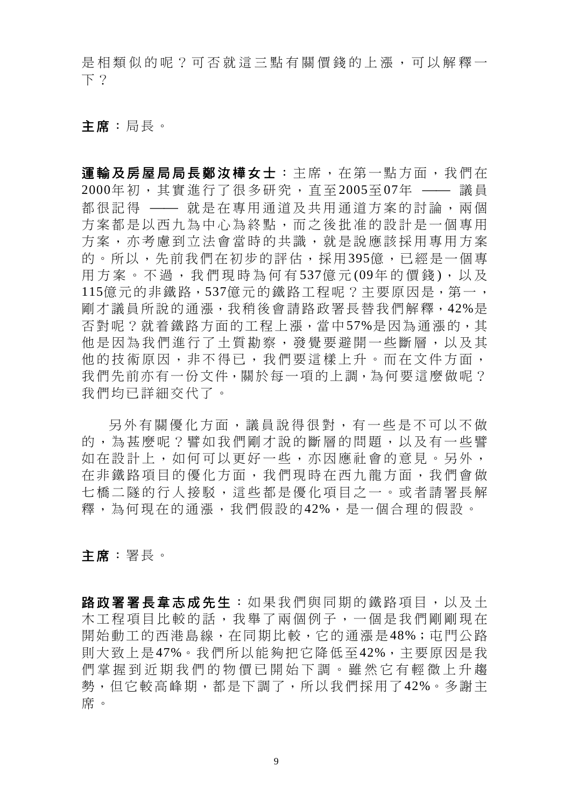是相類似的呢?可否就這三點有關價錢的上漲,可以解釋一 下?

主席:局長。

軍輪及房屋局局長鄭汝樺女士:主席,在第一點方面,我們在  $2000$ 年初,其實進行了很多研究,直至 2005至 07年 —— 議員 都很記得 –– 就是在專用通道及共用通道方案的討論,兩個 方案都是以西九為中心為終點,而之後批准的設計是一個專用 方案,亦考慮到立法會當時的共識,就是說應該採用專用方案 的。所以,先前我們在初步的評估,採用395億,已經是一個專 用方案。不過,我們現時為何有537億元(09年的價錢),以及 115億元的非鐵路,537億元的鐵路工程呢?主要原因是,第一, 剛才議員所說的通漲,我稍後會請路政署長替我們解釋,42%是 否對呢?就着鐵路方面的工程上漲,當中57%是因為通漲的,其 他是因為我們進行了土質勘察,發覺要避開一些斷層,以及其 他的技術原因,非不得已,我們要這樣上升。而在文件方面, 我們先前亦有一份文件,關於每一項的上調,為何要這麼做呢? 我們均已詳細交代了。

另外有關優化方面,議員說得很對 ,有一些是不可以不做 的,為甚麼呢?譬如我們剛才說的斷層的問題,以及有一些譬 如在設計上,如何可以更好一些,亦因應社會的意見。另外, 在非鐵路項目的優化方面,我們現時在西九龍方面,我們會做 七橋二隧的行人接駁,這些都是優化項目之一。或者請署長解 釋,為何現在的通漲,我們假設的42%,是一個合理的假設。

主席:署長。

路政署署長韋志成先生:如果我們與同期的鐵路項目,以及土 木工程項目比較的話,我舉了兩個例子,一個是我們剛剛現在 開始動工的西港島線,在同期比較,它的通漲是48%;屯門公路 則大致上是47%。我們所以能夠把它降低至42%,主要原因是我 們掌握到近期我們的物價已開始下調。雖然它有輕微上升趨 勢,但它較高峰期,都是下調了,所以我們採用了42%。多謝主 席。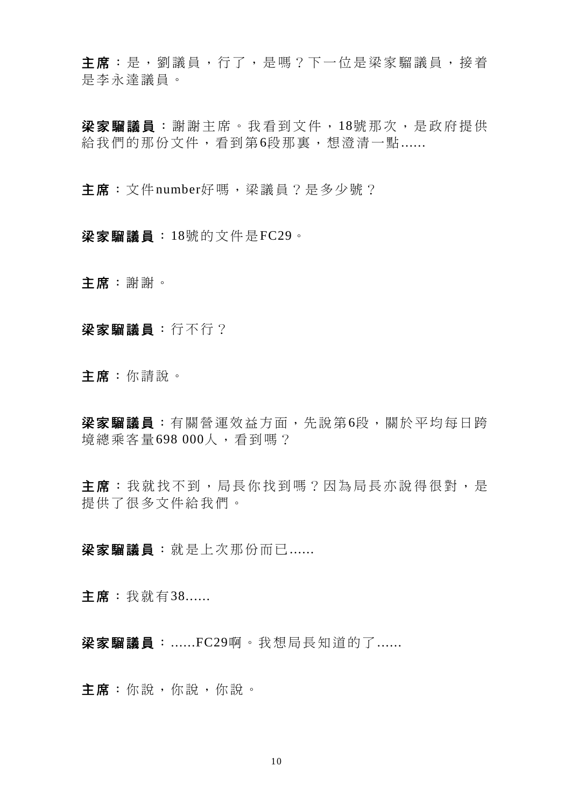主席:是,劉議員,行了,是嗎?下一位是梁家騮議員,接着 是李永達議員。

梁家騮議員:謝謝主席。我看到文件, 18號那次, 是政府提供 給我們的那份文件,看到第6段那裏,想澄清一點......

主席: 文件number好嗎, 梁議員?是多少號?

梁家騮議員:18號的文件是FC29。

主席:謝謝。

梁家騮議員:行不行?

主席:你請說。

梁家騮議員: 有關營運效益方面, 先說第6段, 關於平均每日跨 境總乘客量698 000人,看到嗎?

主席:我就找不到,局長你找到嗎?因為局長亦說得很對,是 提供了很多文件給我們。

梁家騮議員:就是上次那份而已......

主席:我就有38......

梁家騮議員:......FC29啊。我想局長知道的了......

主席:你說,你說,你說。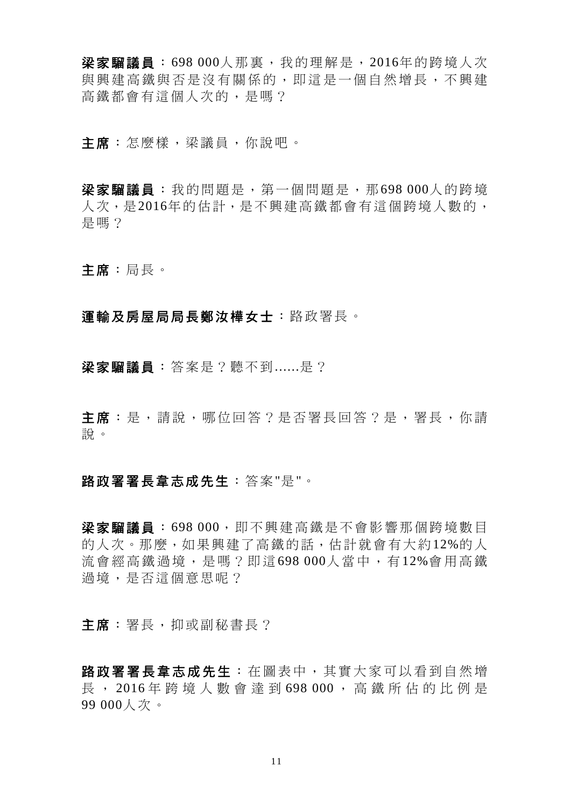**梁家騮議員**: 698 000人那裏, 我的理解是, 2016年的跨境人次 與興建高鐵與否是沒有關係的,即這是一個自然增長,不興建 高鐵都會有這個人次的,是嗎?

主席:怎麼樣,梁議員,你說吧。

梁家騮議員:我的問題是,第一個問題是,那698 000人的跨境 人次,是2016年的估計,是不興建高鐵都會有這個跨境人數的, 是嗎?

主席:局長。

### 運輸及房屋局局長鄭汝樺女士:路政署長。

梁家騮議員:答案是?聽不到......是?

主席:是,請說,哪位回答?是否署長回答?是,署長,你請 說。

### 路政署署長韋志成先生:答案"是"。

梁家騮議員:698 000,即不興建高鐵是不會影響那個跨境數目 的人次。那麼,如果興建了高鐵的話,估計就會有大約12%的人 流會經高鐵過境,是嗎?即這 698 000人當中,有 12%會用高鐵 過境,是否這個意思呢?

主席:署長,抑或副秘書長?

路政署署長韋志成先生:在圖表中,其實大家可以看到自然增 長 , 2016 年跨境人數會達到 698 000 ,高鐵所佔的比例是 99 000人次。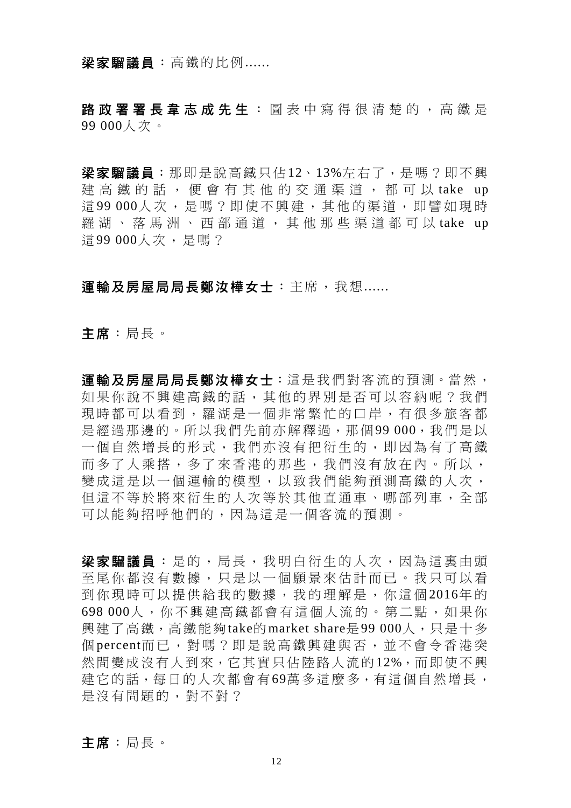### 梁家騮議員:高鐵的比例......

路政署署長韋志成先生 : 圖表中寫得很清楚的, 高鐵是 99 000人次。

梁家騮議員:那即是說高鐵只佔12、13%左右了,是嗎?即不興 建高鐵的話, 便會有其他的交通渠道, 都可以 take up 這99 000人次,是嗎?即使不興建,其他的渠道,即譬如現時 羅湖、落馬洲、西部通道,其他那些渠道都可以 take up 這99 000人次,是嗎?

## 運輸及房屋局局長鄭汝樺女士:主席,我想 ......

主席:局長。

運輸及房屋局局長鄭汝樺女士:這是我們對客流的預測。當然, 如果你說不興建高鐵的話,其他的界別是否可以容納呢?我們 現時都可以看到,羅湖是一個非常繁忙的口岸,有很多旅客都 是經過那邊的。所以我們先前亦解釋過,那個99 000,我們是以 一個自然增長的形式,我們亦沒有把衍生的,即因為有了高鐵 而多了人乘搭,多了來香港的那些,我們沒有放在內。所以, 變成這是以一個運輸的模型,以致我們能夠預測高鐵的人次, 但這不等於將來衍生的人次等於其他直通車、哪部列車,全部 可以能夠招呼他們的,因為這是一個客流的預測。

梁家騮議員:是的,局長,我明白衍生的人次,因為這裏由頭 至尾你都沒有數據,只是以一個願景來估計而已。我只可以看 到你現時可以提供給我的數據,我的理解是,你這個 2016年 的 698 000人,你不興建高鐵都會有這個人流的。第二點,如果你 興建了高鐵,高鐵能夠take的market share是99 000人,只是十多 個 percent而已,對嗎?即是說高鐵興建與否,並不會令香港突 然間變成沒有人到來,它其實只佔陸路人流的12%,而即使不興 建它的話,每日的人次都會有69萬多這麼多,有這個自然增長, 是沒有問題的,對不對?

主席:局長。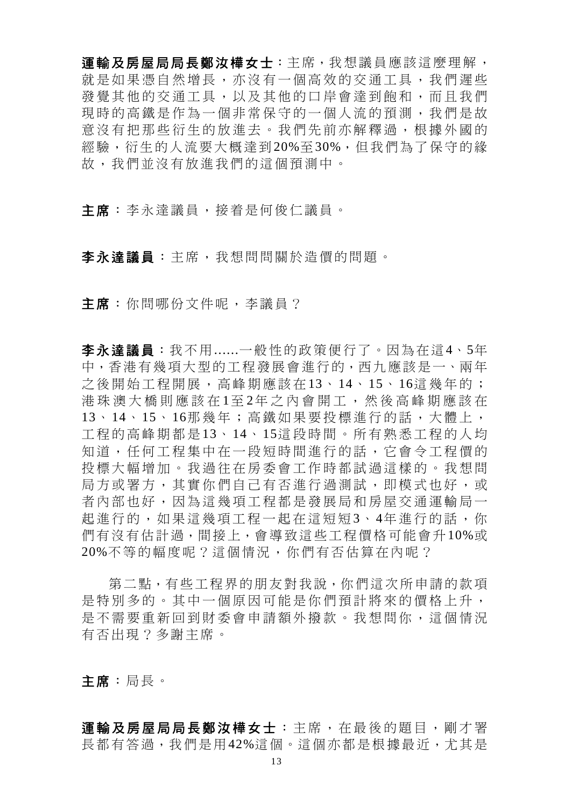運輸及房屋局局長鄭汝樺女士:主席,我想議員應該這麼理解, 就是如果憑自然增長,亦沒有一個高效的交通工具,我們遲些 發覺其他的交通工具,以及其他的口岸會達到飽和,而且我們 現時的高鐵是作為一個非常保守的一個人流的預測,我們是故 意沒有把那些衍生的放進去。我們先前亦解釋過,根據外國的 經驗,衍生的人流要大概達到20%至30%,但我們為了保守的緣 故,我們並沒有放進我們的這個預測中。

主席:李永達議員,接着是何俊仁議員。

李永達議員:主席,我想問問關於造價的問題。

主席: 你問哪份文件呢, 李議員?

李永達議員:我不用......一般性的政策便行了。因為在這4、5年 中,香港有幾項大型的工程發展會進行的,西九應該是一、兩年 之後開始工程開展,高峰期應該在 13、 14、15、 16這幾年的; 港珠澳大橋則應該在 1至 2年之內會開工,然後高峰期應該在 13、 14、 15、 16那幾年;高鐵如果要投標進行的話,大體上, 工程的高峰期都是 13、 14、 15這段時間。所有熟悉工程的人均 知道,任何工程集中在一段短時間進行的話,它會令工程價的 投標大幅增加。我過往在房委會工作時都試過這樣的。我想問 局方或署方,其實你們自己有否進行過測試,即模式也好,或 者內部也好,因為這幾項工程都是發展局和房屋交通運輸局一 起進行的,如果這幾項工程一起在這短短3、4年進行的話,你 們有沒有估計過,間接上,會導致這些工程價格可能會升10%或 20%不等的幅度呢?這個情況,你們有否估算在內呢?

第二點,有些工程界的朋友對我說,你們這次所申請的款項 是特別多的。其中一個原因可能是你們預計將來的價格上升, 是不需要重新回到財委會申請額外撥款。我想問你,這個情況 有否出現?多謝主席。

主席:局長。

運輸及房屋局局長鄭汝樺女士:主席,在最後的題目,剛才署 長都有答過,我們是用42%這個。這個亦都是根據最近,尤其是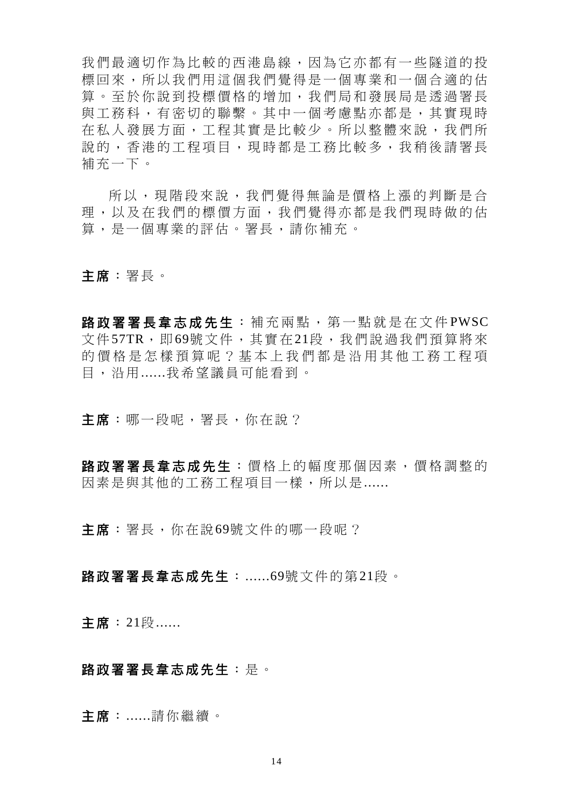我們最適切作為比較的西港島線,因為它亦都有一些隧道的投 標回來,所以我們用這個我們覺得是一個專業和一個合適的估 算。至於你說到投標價格的增加,我們局和發展局是透過署長 與工務科,有密切的聯繫。其中一個考慮點亦都是,其實現時 在私人發展方面,工程其實是比較少。所以整體來說,我們所 說的,香港的工程項目,現時都是工務比較多,我稍後請署長 補充一下。

所以,現階段來說,我們覺得無論是價格上漲的判斷是合 理,以及在我們的標價方面,我們覺得亦都是我們現時做的估 算,是一個專業的評估。署長,請你補充。

主席:署長。

路政署署長韋志成先生:補充兩點,第一點就是在文件PWSC 文件57TR, 即69號文件, 其實在21段, 我們說過我們預算將來 的價格是怎樣預算呢?基本上我們都是沿用其他工務工程項 目,沿用......我希望議員可能看到。

主席:哪一段呢,署長,你在說?

路政署署長韋志成先生:價格上的幅度那個因素,價格調整的 因素是與其他的工務工程項目一樣,所以是......

主席:署長,你在說69號文件的哪一段呢?

路政署署長韋志成先生:......69號文件的第21段。

主席: 21段......

## 路政署署長韋志成先生:是。

主席:......請你繼續。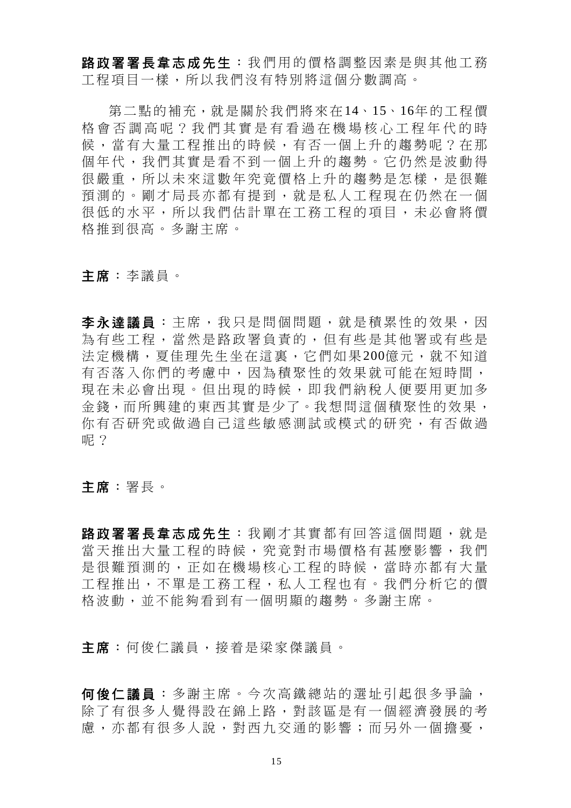路政署署長韋志成先生:我們用的價格調整因素是與其他工務 工程項目一樣,所以我們沒有特別將這個分數調高。

第二點的補充,就是關於我們將來在14、15、16年的工程價 格會否調高呢?我們其實是有看過在機場核心工程年代的時 候,當有大量工程推出的時候,有否一個上升的趨勢呢?在那 個年代,我們其實是看不到一個上升的趨勢。它仍然是波動得 很嚴重,所以未來這數年究竟價格上升的趨勢是怎樣,是很難 預測的。剛才局長亦都有提到,就是私人工程現在仍然在一個 很低的水平,所以我們估計單在工務工程的項目,未必會將價 格推到很高。多謝主席。

## 主席:李議員。

李永達議員 :主席,我只是問個問題,就是積累性的效果,因 為有些工程,當然是路政署負責的,但有些是其他署或有些是 法定機構,夏佳理先生坐在這裏,它們如果200億元,就不知道 有否落入你們的考慮中,因為積聚性的效果就可能在短時間, 現在未必會出現。但出現的時候,即我們納稅人便要用更加多 金錢,而所興建的東西其實是少了。我想問這個積聚性的效果, 你有否研究或做過自己這些敏感測試或模式的研究,有否做過 呢?

主席:署長。

路政署署長韋志成先生:我剛才其實都有回答這個問題,就是 當天推出大量工程的時候,究竟對市場價格有甚麼影響,我們 是很難預測的,正如在機場核心工程的時候,當時亦都有大量 工程推出,不單是工務工程,私人工程也有。我們分析它的價 格波動,並不能夠看到有一個明顯的趨勢。多謝主席。

主席:何俊仁議員,接着是梁家傑議員。

何俊仁議員 :多謝主席。今次高鐵總站的選址引起很多爭論, 除了有很多人覺得設在錦上路,對該區是有一個經濟發展的考 慮,亦都有很多人說,對西九交通的影響;而另外一個擔憂,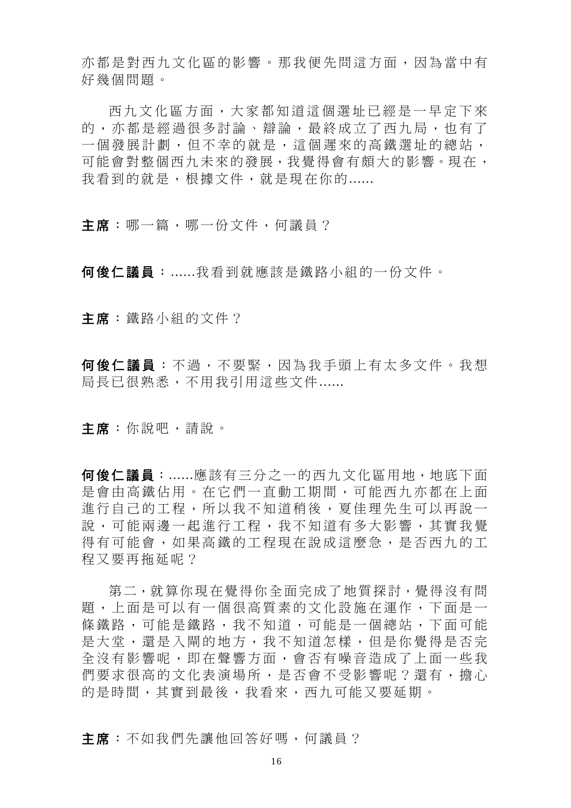亦都是對西九文化區的影響。那我便先問這方面,因為當中有 好幾個問題。

西九文化區方面,大家都知道這個 選址已經是一早定下來 的,亦都是經過很多討論、辯論,最終成立了西九局,也有了 一個發展計劃,但不幸的就是,這個遲來的高鐵選址的總站, 可能會對整個西九未來的發展,我覺得會有頗大的影響。現在, 我看到的就是,根據文件,就是現在你的......

主席:哪一篇,哪一份文件,何議員?

何俊仁議員:......我看到就應該是鐵路小組的一份文件。

主席:鐵路小組的文件?

何俊仁議員:不過,不要緊,因為我手頭上有太多文件。我想 局長已很熟悉,不用我引用這些文件......

主席:你說吧,請說。

何俊仁議員:......應該有三分之一的西九文化區用地,地底下面 是會由高鐵佔用。在它們一直動工期間,可能西九亦都在上面 進行自己的工程,所以我不知道稍後,夏佳理先生可以再說一 說,可能兩邊一起進行工程,我不知道有多大影響,其實我覺 得有可能會,如果高鐵的工程現在說成這麼急,是否西九的工 程又要再拖延呢?

第二,就算你現在覺得你全面完成了地質探討,覺得沒有問 題,上面是可以有一個很高質素的文化設施在運作,下面是一 條鐵路,可能是整鐵路,我不知道,可能是一個總站,下面可能 是大堂,還是入閘的地方,我不知道怎樣,但是你覺得是否完 全沒有影響呢,即在聲響方面,會否有噪音造成了上面一些我 們要求很高的文化表演場所,是否會不受影響呢?還有,擔心 的是時間,其實到最後,我看來,西九可能又要延期。

主席:不如我們先讓他回答好嗎,何議員?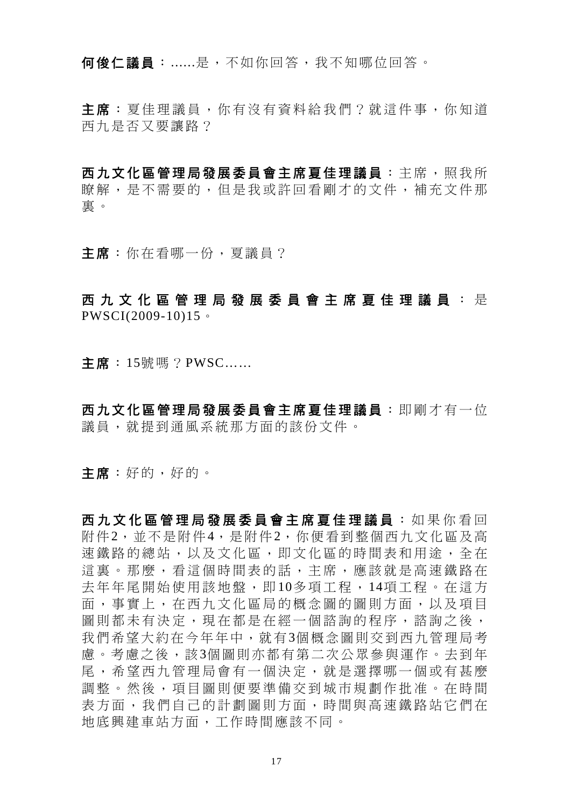何俊仁議員:......是,不如你回答,我不知哪位回答。

主席:夏佳理議員,你有沒有資料給我們?就這件事,你知道 西九是否又要讓路?

西九文化區管理局發展委員會主席夏佳理議員 :主席,照我所 瞭解,是不需要的,但是我或許回看剛才的文件,補充文件那 裏。

主席:你在看哪一份,夏議員?

## 西九文化區管理局發展委員會主席夏佳理議員 : 是 PWSCI(2009-10)15。

主席:15號嗎?PWSC……

西九文化區管理局發展委員會主席夏佳理議員 :即剛才有一位 議員,就提到通風系統那方面的該份文件。

主席:好的,好的。

西九文化區管理局發展委員會主席夏佳理議員 :如果你看回 附件2,並不是附件4,是附件2,你便看到整個西九文化區及高 速鐵路的總站,以及文化區,即文化區的時間表和用途,全在 這裏。那麼,看這個時間表的話,主席,應該就是高速鐵路在 去年年尾開始使用該地盤,即 10多項工程, 14項工程。在這方 面,事實上,在西九文化區局的概念圖的圖則方面,以及項目 圖則都未有決定,現在都是在經一個諮詢的程序,諮詢之後, 我們希望大約在今年年中,就有3個概念圖則交到西九管理局考 慮。考慮之後,該3個圖則亦都有第二次公眾參與運作。去到年 尾,希望西九管理局會有一個決定,就是選擇哪一個或有甚麼 調整。然後,項目圖則便要準備交到城市規劃作批准。在時間 表方面,我們自己的計劃圖則方面,時間與高速鐵路站它們在 地底興建車站方面,工作時間應該不同。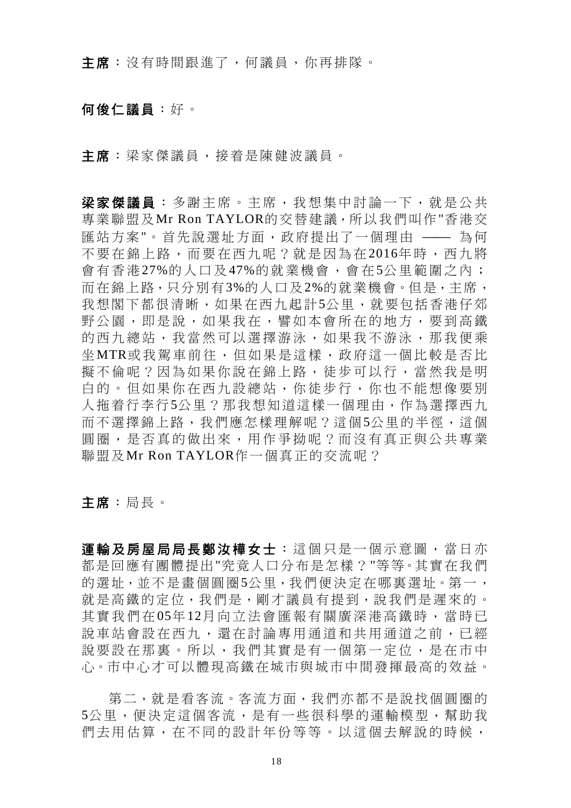主席:沒有時間跟進了,何議員,你再排隊。

## 何俊仁議員:好。

主席:梁家傑議員,接着是陳健波議員。

梁家傑議員:多謝主席。主席,我想集中討論一下,就是公共 專業聯盟及Mr Ron TAYLOR的交替建議,所以我們叫作"香港交 匯站方案"。首先說選址方面,政府提出了一個理由 –– 為何 不要在錦上路,而要在西九呢?就是因為在 2016年時,西九將 會有香港 27%的人口及 47%的就業機會,會在 5公里範圍之內; 而在錦上路,只分別有3%的人口及2%的就業機會。但是,主席, 我想閣下都很清晰,如果在西九起計5公里,就要包括香港仔郊 野公園,即是說,如果我在,譬如本會所在的地方,要到高鐵 的西九總站,我當然可以選擇游泳,如果我不游泳,那我便乘 坐 MTR或我駕車前往,但如果是這樣,政府這一個比較是否比 擬不倫呢?因為如果你說在錦上路,徒步可以行,當然我是明 白的。但如果你在西九設總站,你徒步行,你也不能想像要別 人拖着行李行5公里?那我想知道這樣一個理由,作為選擇西九 而不選擇錦上路,我們應怎樣理解呢?這個5公里的半徑,這個 圓圈,是否真的做出來,用作爭拗呢?而沒有真正與公共專業 聯盟及Mr Ron TAYLOR作一個真正的交流呢?

主席:局長。

運輸及房屋局局長鄭汝樺女士:這個只是一個示意圖,當日亦 都是回應有團體提出"究竟人口分布是怎樣?"等等。其實在我們 的選址,並不是書個圓圈5公里,我們便決定在哪裏選址。第一, 就是高鐵的定位,我們是,剛才議員有提到,說我們是遲來的。 其實我們在 05年12月向立法會匯報有關廣深港高鐵時, 當時已 說車站會設在西九,還在討論專用通道和共用通道之前,已經 說要設在那裏。所以,我們其實是有一個第一定位,是在市中 心。市中心才可以體現高鐵在城市與城市中間發揮最高的效益。

第二, 就是看客流。客流方面, 我們亦都不是說找個圓圈的 5公里,便決定這個客流,是有一些很科學的運輸模型,幫助我 們去用估算,在不同的設計年份等等。以這個去解說的時候,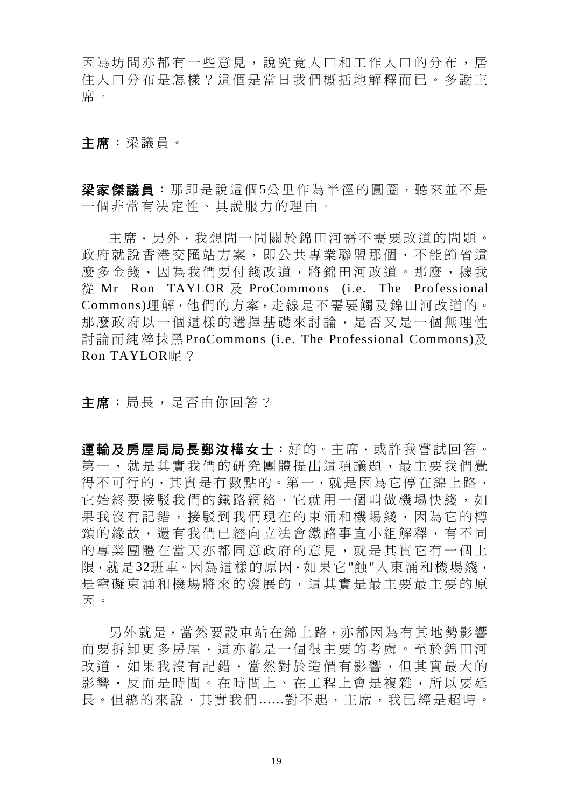因為坊間亦都有一些意見,說究竟人口和工作人口的分布,居 住人口分布是怎樣?這個是當日我們概括地解釋而已。多謝主 席。

主席:梁議員。

梁家傑議員:那即是說這個5公里作為半徑的圓圈,聽來並不是 一個非常有決定性、具說服力的理由。

主席,另外,我想問一問關於錦田河需不需要改道的問題。 政府就說香港交匯站方案,即公共專業聯盟那個,不能節省這 麼多金錢,因為我們要付錢改道,將錦田河改道。那麼,據我 從 Mr Ron TAYLOR 及 ProCommons (i.e. The Professional Commons)理解,他們的方案,走線是不需要觸及錦田河改道的。 那麼政府以一個這樣的選擇基礎來討論,是否又是一個無理性 討論而純粹抹黑ProCommons (i.e. The Professional Commons)及 Ron TAYLOR呢?

主席:局長,是否由你回答?

運輸及房屋局局長鄭汝樺女士:好的。主席,或許我嘗試回答。 第一,就是其實我們的研究團體提出這項議題,最主要我們覺 得不可行的,其實是有數點的。第一,就是因為它停在錦上路, 它始終要接駁我們的鐵路網絡,它就用一個叫做機場快綫,如 果我沒有記錯,接駁到我們現在的東涌和機場綫,因為它的樽 頸的緣故,還有我們已經向立法會鐵路事宜小組解釋,有不同 的專業團體在當天亦都同意政府的意見,就是其實它有一個上 限,就是32班車。因為這樣的原因,如果它"飩"入東涌和機場綫, 是窒礙東涌和機場將來的發展的,這其實是最主要最主要的原 因。

另外就是,當然要設車站在錦上路,亦都因為有其地勢影響 而要拆卸更多房屋,這亦都是一個很主要的考慮。至於錦田河 改道,如果我沒有記錯,當然對於造價有影響,但其實最大的 影響,反而是時間。在時間上、在工程上會是複雜,所以要延 長。但總的來說,其實我們......對不起,主席,我已經是超時。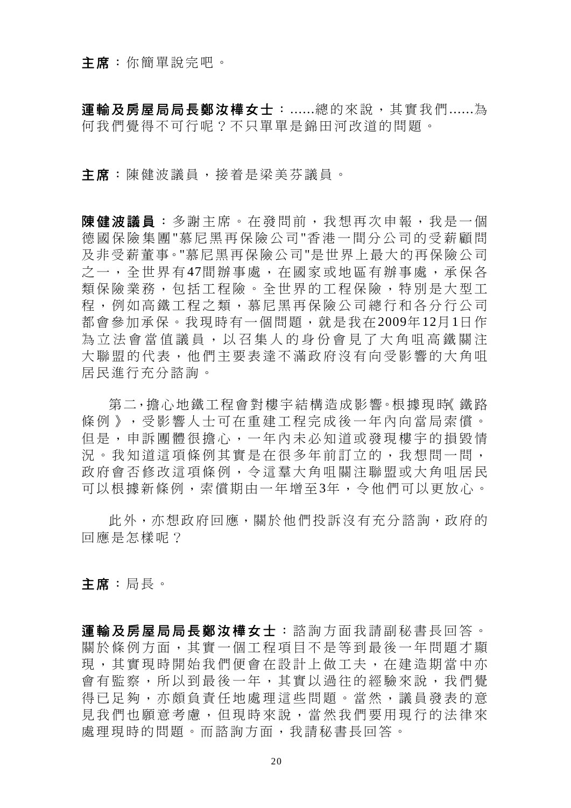#### 主席:你簡單說完吧。

軍輪及房屋局局長鄭汝樺女士:......總的來說,其實我們......為 何我們覺得不可行呢?不只單單是錦田河改道的問題。

主席:陳健波議員,接着是梁美芬議員。

陳健波議員:多謝主席。在發問前,我想再次申報,我是一個 德國保險集團 "慕尼黑再保險公司 "香港一間分公司的受薪顧問 及非受薪董事。"慕尼黑再保險公司"是世界上最大的再保險公司 之一,全世界有47間辦事處,在國家或地區有辦事處,承保各 類保險業務,包括工程險。全世界的工程保險,特別是大型工 程,例如高鐵工程之類,慕尼黑再保險公司總行和各分行公司 都會參加承保。我現時有一個問題,就是我在2009年12月1日作 為立法會當值議員,以召集人的身份會見了大角咀高鐵關注 大聯盟的代表,他們主要表達不滿政府沒有向受影響的大角咀 居民進行充分諮詢。

第二,擔心地鐵工程會對樓宇結構造成影響。根據現時《鐵路 條例》,受影響人士可在重建工程完成後一年內向當局索償。 但是,申訴團體很擔心,一年內未必知道或發現樓宇的損毀情 況。我知道這項條例其實是在很多年前訂立的,我想問一問, 政府會否修改這項條例,令這羣大角咀關注聯盟或大角咀居民 可以根據新條例,索償期由一年增至3年,令他們可以更放心。

此外,亦想政府回應,關於他們投訴沒有充分諮詢,政府的 回應是怎樣呢?

主席:局長。

運輸及房屋局局長鄭汝樺女士:諮詢方面我請副秘書長回答。 關於條例方面,其實一個工程項目不是等到最後一年問題才顯 現,其實現時開始我們便會在設計上做工夫,在建造期當中亦 會有監察,所以到最後一年,其實以過往的經驗來說,我們覺 得已足夠,亦頗負責任地處理這些問題。當然,議員發表的意 見我們也願意考慮,但現時來說,當然我們要用現行的法律來 處理現時的問題。而諮詢方面,我請秘書長回答。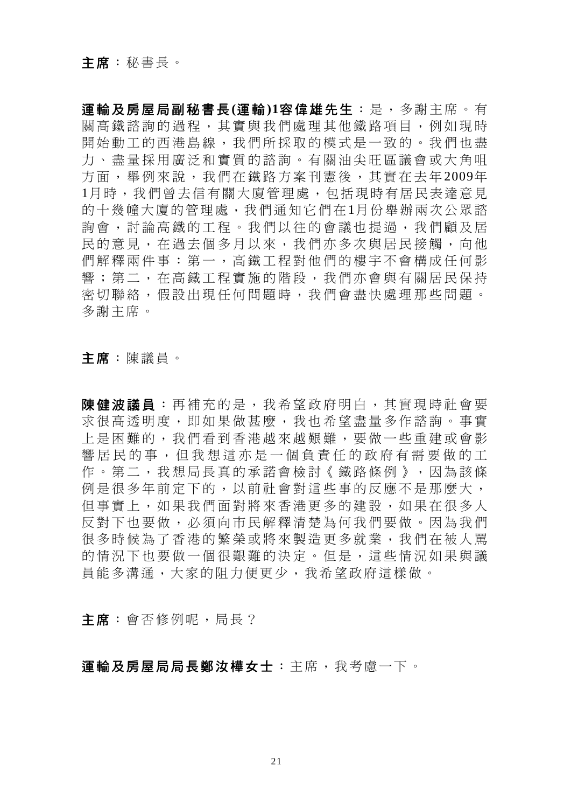運輸及房屋局副秘書長**(**運輸**)1**容偉雄先生:是,多謝主席。有 關高鐵諮詢的過程,其實與我們處理其他鐵路項目,例如現時 開始動工的西港島線,我們所採取的模式是一致的。我們也盡 力、盡量採用廣泛和實質的諮詢。有關油尖旺區議會或大角咀 方面,舉例來說,我們在鐵路方案刊憲後,其實在去年 2009年 1月時,我們曾去信有關大廈管理處,包括現時有居民表達意見 的十幾幢大廈的管理處,我們通知它們在1月份舉辦兩次公眾諮 詢會,討論高鐵的工程。我們以往的會議也提過,我們顧及居 民的意見,在過去個多月以來,我們亦多次與居民接觸,向他 們解釋兩件事:第一,高鐵工程對他們的樓宇不會構成任何影 響;第二,在高鐵工程實施的階段,我們亦會與有關居民保持 密切聯絡,假設出現任何問題時,我們會盡快處理那些問題。 多謝主席。

主席:陳議員。

使健波議員:再補充的是,我希望政府明白,其實現時社會要 求很高透明度,即如果做甚麼,我也希望盡量多作諮詢。事實 上是困難的,我們看到香港越來越艱難,要做一些重建或會影 響居民的事,但我想這亦是一個負責任的政府有需要做的工 作。第二,我想局長真的承諾會檢討《鐵路條例》,因為該條 例是很多年前定下的,以前社會對這些事的反應不是那麼大, 但事實上,如果我們面對將來香港更多的建設,如果在很多人 反對下也要做,必須向市民解釋清楚為何我們要做。因為我們 很多時候為了香港的繁榮或將來製造更多就業,我們在被人罵 的情況下也要做一個很艱難的決定。但是,這些情況如果與議 員能多溝通,大家的阻力便更少,我希望政府這樣做。

主席:會否修例呢,局長?

運輸及房屋局局長鄭汝樺女士:主席,我考慮一下。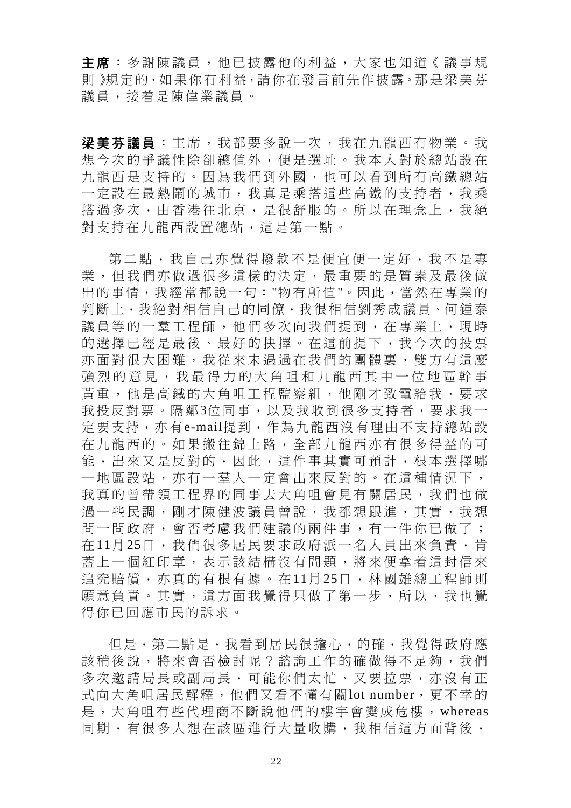主席:多謝陳議員,他已披露他的利益,大家也知道《議事規 則》規定的,如果你有利益,請你在發言前先作披露。那是梁美芬 議員,接着是陳偉業議員。

梁美芬議員: 主席, 我都要多說一次, 我在九龍西有物業。我 想今次的爭議性除卻總值外,便是選址。我本人對於總站設在 九龍西是支持的。因為我們到外國,也可以看到所有高鐵總站 一定設在最熱鬧的城市,我真是乘搭這些高鐵的支持者,我乘 搭過多次,由香港往北京,是很舒服的。所以在理念上,我絕 對支持在九龍西設置總站,這是第一點。

第二點,我自己亦覺得撥款不是便宜便一定好,我不是專 業,但我們亦做過很多這樣的決定,最重要的是質素及最後做 出的事情,我經常都說一句:"物有所值"。因此,當然在專業的 判斷上,我絕對相信自己的同僚,我很相信劉秀成議員、何鍾泰 議員等的一羣工程師,他們多次向我們提到,在專業上,現時 的選擇已經是最後、最好的抉擇。在這前提下,我今次的投票 亦面對很大困難,我從來未遇過在我們的團體裏,雙方有這麼 強烈的意見,我最得力的大角咀和九龍西其中一位地區幹事 黃重,他是高鐵的大角咀工程監察組,他剛才致電給我,要求 我投反對票。隔鄰3位同事,以及我收到很多支持者,要求我一 定要支持,亦有e-mail提到,作為九龍西沒有理由不支持總站設 在九龍西的。如果搬往錦上路,全部九龍西亦有很多得益的可 能,出來又是反對的,因此,這件事其實可預計,根本選擇哪 一地區設站,亦有一羣人一定會出來反對的。在這種情況下, 我真的曾帶領工程界的同事去大角咀會見有關居民,我們也做 過一些民調,剛才陳健波議員曾說,我都想跟進,其實,我想 問一問政府,會否考慮我們建議的兩件事,有一件你已做了; 在 11月 25日,我們很多居民要求政府派一名人員出來負責,肯 蓋上一個紅印章,表示該結構沒有問題,將來便拿着這封信來 追究賠償,亦真的有根有據。在11月25日,林國雄總工程師則 願意負責。其實,這方面我覺得只做了第一步,所以,我也覺 得你已回應市民的訴求。

但是,第二點是,我看到居民很擔心,的確,我覺得政府應 該稍後說,將來會否檢討呢?諮詢工作的確做得不足夠,我們 多次邀請局長或副局長,可能你們太忙、又要拉票,亦沒有正 式向大角咀居民解釋,他們又看不懂有關lot number,更不幸的 是,大角咀有些代理商不斷說他們的樓宇會變成危樓,whereas 同期,有很多人想在該區進行大量收購,我相信這方面背後,

22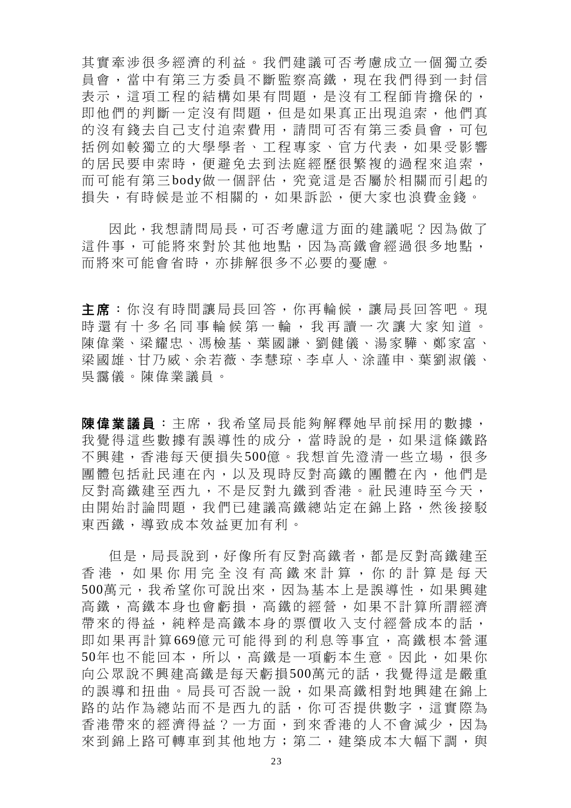其實牽涉很多經濟的利益。我們建議可否考慮成立一個獨立委 員會,當中有第三方委員不斷監察高鐵,現在我們得到一封信 表示,這項工程的結構如果有問題,是沒有工程師肯擔保的, 即他們的判斷一定沒有問題,但是如果真正出現追索,他們真 的沒有錢去自己支付追索費用,請問可否有第三委員會,可包 括例如較獨立的大學學者、工程專家、官方代表,如果受影響 的居民要申索時,便避免去到法庭經歷很繁複的過程來追索, 而可能有第三 body做一個評估,究竟這是否屬於相關而引起的 損失,有時候是並不相關的,如果訴訟,便大家也浪費金錢。

因此,我想請問局長,可否考慮這方面的建議呢?因為做了 這件事,可能將來對於其他地點,因為高鐵會經過很多地點, 而將來可能會省時,亦排解很多不必要的憂慮。

主席:你沒有時間讓局長回答,你再輪候,讓局長回答吧。現 時還有十多名同事輪候第一輪,我再讀一次讓大家知道。 陳偉業、梁耀忠、馮檢基、葉國謙、劉健儀、湯家驊、鄭家富、 梁國雄、甘乃威、余若薇、李慧琼、李卓人、涂謹申、葉劉淑儀、 吳靄儀。陳偉業議員。

陳偉業議員:主席,我希望局長能夠解釋她早前採用的數據, 我覺得這些數據有誤導性的成分,當時說的是,如果這條鐵路 不興建,香港每天便損失500億。我想首先澄清一些立場,很多 團體包括社民連在內,以及現時反對高鐵的團體在內,他們是 反對高鐵建至西九,不是反對九鐵到香港。社民連時至今天, 由開始討論問題,我們已建議高鐵總站定在錦上路,然後接駁 東西鐵,導致成本效益更加有利。

但是,局長說到,好像所有反對高鐵者,都是反對高鐵建至 香港,如果你用完全沒有高鐵來計算,你的計算是每天 500萬元,我希望你可說出來,因為基本上是誤導性,如果興建 高鐵,高鐵本身也會虧損,高鐵的經營,如果不計算所謂經濟 帶來的得益,純粹是高鐵本身的票價收入支付經營成本的話, 即如果再計算 669億元可能得到的利息等事宜,高鐵根本營運 50年也不能回本,所以,高鐵是一項虧本生意。因此,如果你 向公眾說不興建高鐵是每天虧損500萬元的話,我覺得這是嚴重 的誤導和扭曲。局長可否說一說,如果高鐵相對地興建在錦上 路的站作為總站而不是西九的話,你可否提供數字,這實際為 香港帶來的經濟得益?一方面,到來香港的人不會減少,因為 來到錦上路可轉車到其他地方;第二,建築成本大幅下調,與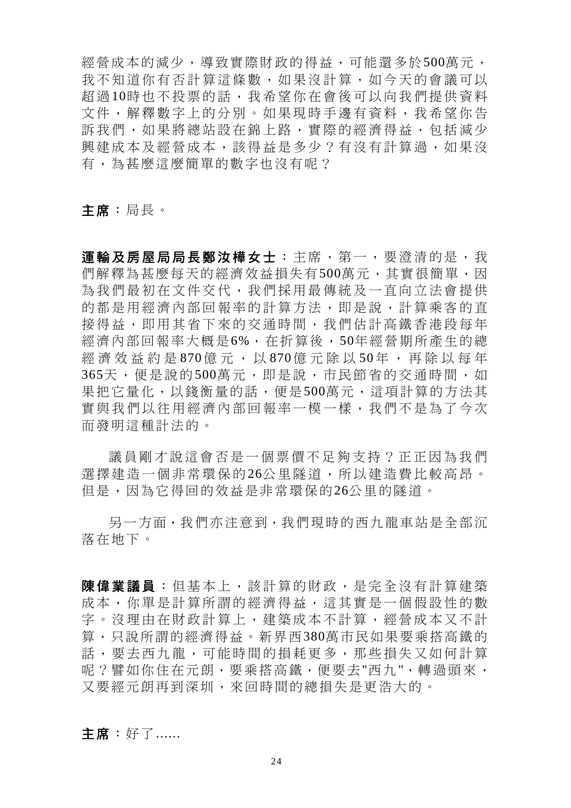經營成本的減少,導致實際財政的得益,可能還多於500萬元, 我不知道你有否計算這條數,如果沒計算,如今天的會議可以 超 過 10時也不投票的話,我希望你在會後可以向我們提供資料 文件,解釋數字上的分別。如果現時手邊有資料,我希望你告 訴我們,如果將總站設在錦上路,實際的經濟得益,包括減少 興建成本及經營成本,該得益是多少?有沒有計算過,如果沒 有,為甚麼這麼簡單的數字也沒有呢?

主席:局長。

軍輪及房屋局局長鄭汝樺女士:主席,第一,要澄清的是,我 們解釋為甚麼每天的經濟效益損失有500萬元,其實很簡單,因 為我們最初在文件交代,我們採用最傳統及一直向立法會提供 的都是用經濟內部回報率的計算方法,即是說,計算乘客的直 接得益,即用其省下來的交通時間,我們估計高鐵香港段每年 經濟內部回報率大概是6%,在折算後,50年經營期所產生的總 經濟效益約是870億元,以870億元除以50年,再除以每年 365天,便是說的 500萬元,即是說,市民節省的交通時間,如 果把它量化,以錢衡量的話,便是500萬元,這項計算的方法其 實與我們以往用經濟內部回報率一模一樣,我們不是為了今次 而發明這種計法的。

議員剛才說這會否是一個票價不足夠支持?正正因為我們 選擇建造一個非常環保的 26公里隊道,所以建造費比較高昂。 但是,因為它得回的效益是非常環保的26公里的隧道。

另一方面,我們亦注意到,我們現時的西九龍車站是全部沉 落在地下。

陳偉業議員 :但基本上,該計算的財政,是完全沒有計算建築 成本,你單是計算所謂的經濟得益,這其實是一個假設性的數 字。沒理由在財政計算上,建築成本不計算,經營成本又不計 算,只說所謂的經濟得益。新界西380萬市民如果要乘搭高鐵的 話,要去西九龍,可能時間的損耗更多,那些損失又如何計算 呢?譬如你住在元朗,要乘搭高鐵,便要去"西九",轉過頭來, 又要經元朗再到深圳,來回時間的總損失是更浩大的。

主席:好了......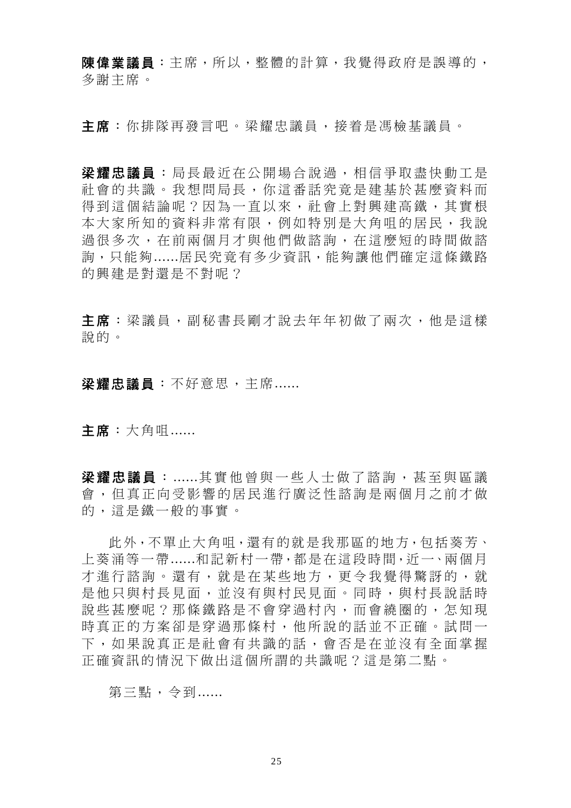陳偉業議員:主席,所以,整體的計算,我覺得政府是誤導的, 多謝主席。

主席:你排隊再發言吧。梁耀忠議員,接着是馮檢基議員。

梁耀忠議員:局長最近在公開場合說過,相信爭取盡快動工是 社會的共識。我想問局長,你這番話究竟是建基於甚麼資料而 得到這個結論呢?因為一直以來,社會上對興建高鐵,其實根 本大家所知的資料非常有限,例如特別是大角咀的居民,我說 過很多次,在前兩個月才與他們做諮詢,在這麼短的時間做諮 詢,只能夠......居民究竟有多少資訊,能夠讓他們確定這條鐵路 的興建是對還是不對呢?

主席:梁議員,副秘書長剛才說去年年初做了兩次,他是這樣 說的。

梁耀忠議員:不好意思,主席......

主席:大角咀......

**梁耀忠議員** : ......其實他曾與一些人士做了諮詢, 甚至與區議 會,但真正向受影響的居民進行廣泛性諮詢是兩個月之前才做 的,這是鐵一般的事實。

此外,不單止大角咀,還有的就是我那區的地方,包括葵芳、 上葵涌等一帶......和記新村一帶,都是在這段時間,近一、兩個月 才進行諮詢。還有,就是在某些地方,更令我覺得驚訝的,就 是他只與村長見面,並沒有與村民見面。同時,與村長說話時 說些甚麼呢?那條鐵路是不會穿過村內,而會繞圈的,怎知現 時真正的方案卻是穿過那條村,他所說的話並不正確。試問一 下,如果說真正是社會有共識的話,會否是在並沒有全面掌握 正確資訊的情況下做出這個所謂的共識呢?這是第二點。

第三點,今到......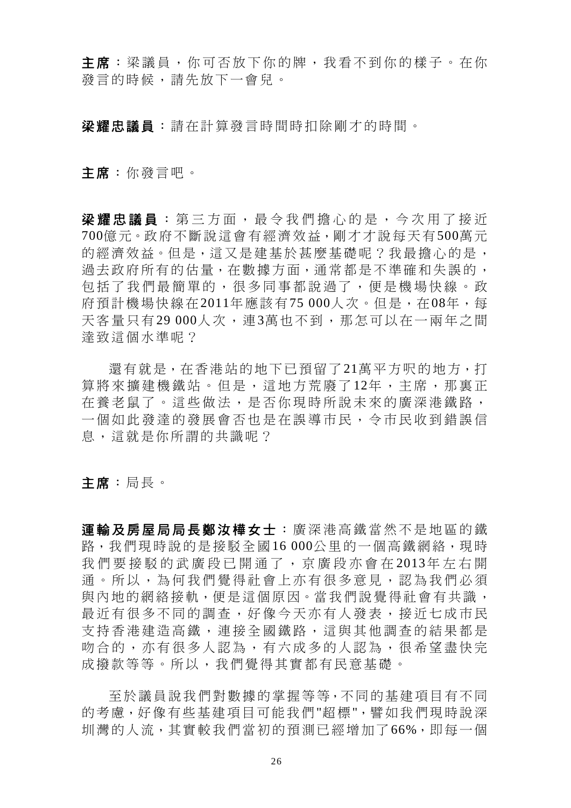主席:梁議員,你可否放下你的牌,我看不到你的樣子。在你 發言的時候,請先放下一會兒。

梁耀忠議員:請在計算發言時間時扣除剛才的時間。

主席:你發言吧。

梁耀忠議員: 第三方面,最令我們擔心的是,今次用了接近 700億元。政府不斷說這會有經濟效益,剛才才說每天有500萬元 的經濟效益。但是,這又是建基於甚麼基礎呢?我最擔心的是, 過去政府所有的估量,在數據方面,通常都是不準確和失誤的, 包括了我們最簡單的,很多同事都說過了,便是機場快線。政 府預計機場快線在2011年應該有75 000人次。但是,在08年,每 天客量只有29 000人次,連3萬也不到,那怎可以在一兩年之間 達致這個水準呢?

還有就是,在香港站的地下已預留了21萬平方呎的地方,打 算將來擴建機鐵站。但是,這地方荒廢了12年,主席,那裏正 在養老鼠了。這些做法,是否你現時所說未來的廣深港鐵路, 一個如此發達的發展會否也是在誤導市民,令市民收到錯誤信 息,這就是你所謂的共識呢?

主席:局長。

運輸及房屋局局長鄭汝樺女士 :廣深港高鐵當然不是地區的鐵 路,我們現時說的是接駁全國16 000公里的一個高鐵網絡,現時 我們要接駁的武廣段已開通了,京廣段亦會在 2013年左右開 通。所以,為何我們覺得社會上亦有很多意見,認為我們必須 與內地的網絡接軌,便是這個原因。當我們說覺得社會有共識, 最近有很多不同的調查,好像今天亦有人發表,接近七成市民 支持香港建造高鐵,連接全國鐵路,這與其他調查的結果都是 吻合的,亦有很多人認為,有六成多的人認為,很希望盡快完 成撥款等等。所以,我們覺得其實都有民意基礎。

至於議員說我們對數據的掌握等等,不同的基建項目有不同 的考慮,好像有些基建項目可能我們"超標",譬如我們現時說深 圳灣的人流,其實較我們當初的預測已經增加了66%,即每一個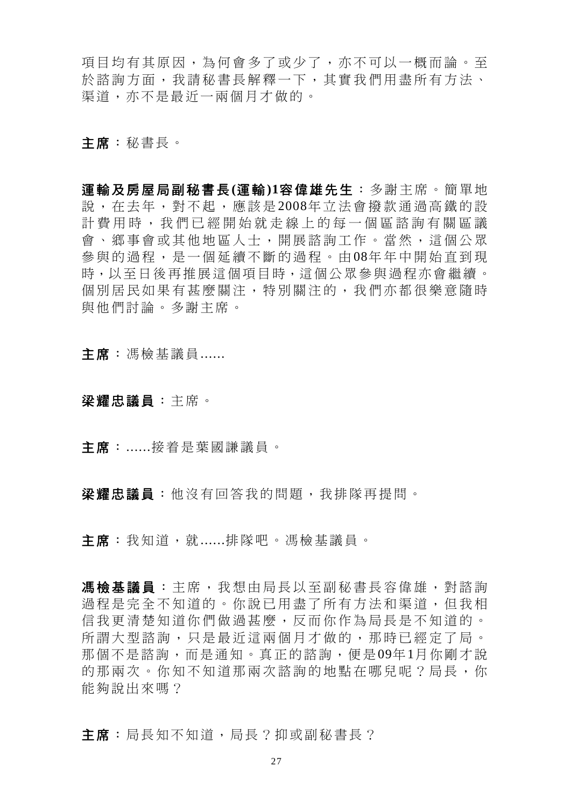項目均有其原因,為何會多了或少了,亦不可以一概而論。至 於諮詢方面,我請秘書長解釋一下,其實我們用盡所有方法、 渠道,亦不是最近一兩個月才做的。

主席:秘書長。

運輸及房屋局副秘書長**(**運輸**)1**容偉雄先生:多謝主席。簡單地 說,在去年,對不起,應該是 2008年立法會撥款通過高鐵的設 計費用時,我們已經開始就走線上的每一個區諮詢有關區議 會、鄉事會或其他地區人士,開展諮詢工作。當然,這個公眾 參與的過程,是一個延續不斷的過程。由 08年年中開始直到現 時,以至日後再推展這個項目時,這個公眾參與過程亦會繼續。 個別居民如果有甚麼關注,特別關注的,我們亦都很樂意隨時 與他們討論。多謝主席。

主席: 馮檢基議員......

- 梁耀忠議員:主席。
- 主席:......接着是葉國謙議員。

梁耀忠議員:他沒有回答我的問題,我排隊再提問。

主席:我知道,就......排隊吧。馮檢基議員。

馬檢基議員:主席,我想由局長以至副秘書長容偉雄,對諮詢 過程是完全不知道的。你說已用盡了所有方法和渠道,但我相 信我更清楚知道你們做過甚麼,反而你作為局長是不知道的。 所謂大型諮詢,只是最近這兩個月才做的,那時已經定了局。 那個不是諮詢,而是通知。真正的諮詢,便是09年1月你剛才說 的那兩次。你知不知道那兩次諮詢的地點在哪兒呢?局長,你 能夠說出來嗎?

主席:局長知不知道,局長?抑或副秘書長?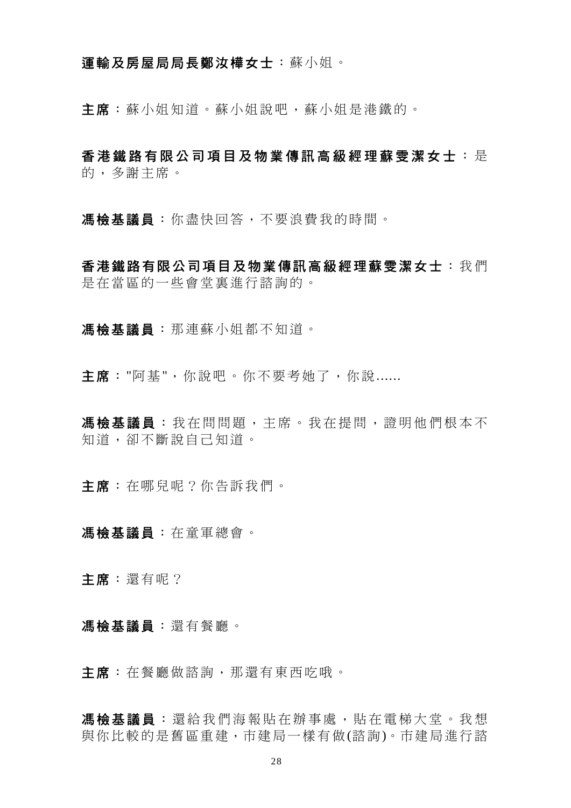### 運輸及房屋局局長鄭汝樺女士:蘇小姐。

主席:蘇小姐知道。蘇小姐說吧,蘇小姐是港鐵的。

香港鐵路有限公司項目及物業傳訊高級經理蘇雯潔女士 : 是 的,多謝主席。

馮檢基議員:你盡快回答,不要浪費我的時間。

香港鐵路有限公司項目及物業傳訊高級經理蘇雯潔女士:我們 是在當區的一些會堂裏進行諮詢的。

馮檢基議員:那連蘇小姐都不知道。

主席: "阿基",你說吧。你不要考她了,你說......

馬檢基議員:我在問問題,主席。我在提問,證明他們根本不 知道,卻不斷說自己知道。

主席:在哪兒呢?你告訴我們。

馮檢基議員:在童軍總會。

主席:還有呢?

馮檢基議員:還有餐廳。

主席:在餐廳做諮詢,那還有東西吃哦。

馮檢基議員 :還給我們海報貼在辦事處,貼在電梯大堂。我想 與你比較的是舊區重建,市建局一樣有做(諮詢)。市建局進行諮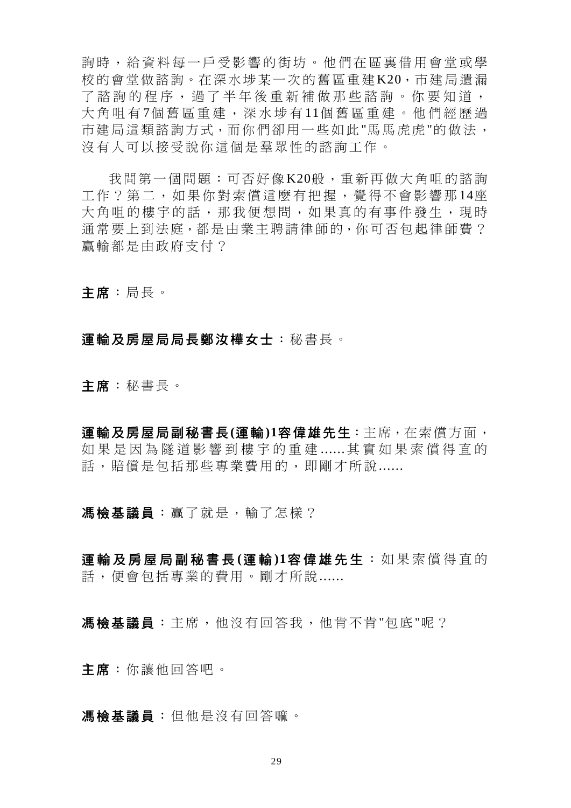詢時,給資料每一戶受影響的街坊。他們在區裏借用會堂或學 校的會堂做諮詢。在深水埗某一次的舊區重建K20,市建局遺漏 了諮詢的程序,過了半年後重新補做那些諮詢。你要知道, 大角咀有 7個舊區重建,深水埗有 11個舊區重建。他們經歷過 市建局這類諮詢方式,而你們卻用一些如此"馬馬虎虎"的做法, 沒有人可以接受說你這個是羣眾性的諮詢工作。

我問第一個問題:可否好像K20般,重新再做大角咀的諮詢 工作?第二,如果你對索償這麼有把握,覺得不會影響那 14座 大角咀的樓宇的話,那我便想問,如果真的有事件發生,現時 通常要上到法庭,都是由業主聘請律師的,你可否包起律師費? 贏輸都是由政府支付?

主席:局長。

#### 運輸及房屋局局長鄭汝樺女士:秘書長。

主席:秘書長。

運輸及房屋局副秘書長**(**運輸**)1**容偉雄先生:主席,在索償方面, 如果是因為隧道影響到樓宇的重建 ......其實如果索償得直的 話,賠償是包括那些專業費用的,即剛才所說......

馮檢基議員:贏了就是,輸了怎樣?

運輸及房屋局副秘書長 **(**運 輸 **)1**容偉雄先生 :如果索償得直的 話,便會包括專業的費用。剛才所說......

馮檢基議員:主席,他沒有回答我,他肯不肯"包底"呢?

主席:你讓他回答吧。

馮檢基議員:但他是沒有回答嘛。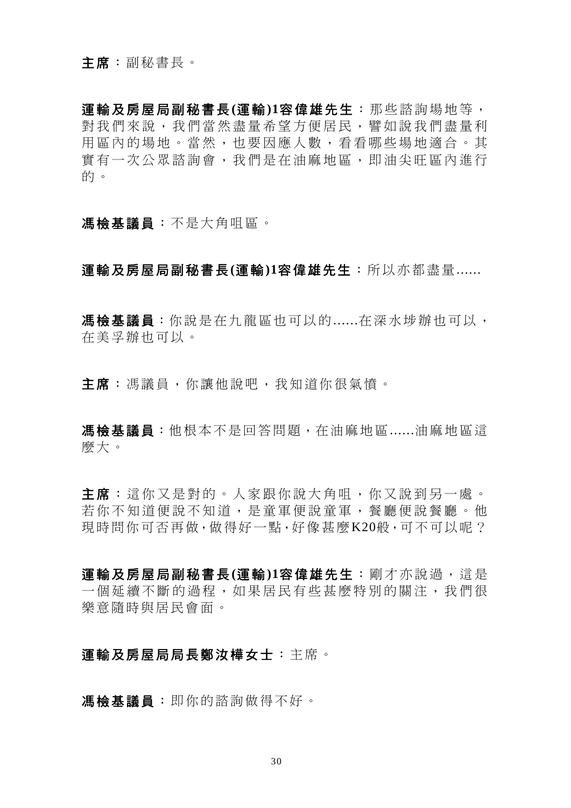運輸及房屋局副秘書長**(**運輸**)1**容偉雄先生:那些諮詢場地等, 對我們來說,我們當然盡量希望方便居民,譬如說我們盡量利 用區內的場地。當然,也要因應人數,看看哪些場地適合。其 實有一次公眾諮詢會,我們是在油麻地區,即油尖旺區內進行 的。

### 馮檢基議員:不是大角咀區。

運輸及房屋局副秘書長**(**運輸**)1**容偉雄先生:所以亦都盡量......

馮檢基議員:你說是在九龍區也可以的......在深水埗辦也可以, 在美孚辦也可以。

主席:馮議員,你讓他說吧,我知道你很氣憤。

馬檢基議員:他根本不是回答問題,在油麻地區......油麻地區這 麼大。

主席:這你又是對的。人家跟你說大角咀,你又說到另一處。 若你不知道便說不知道,是童軍便說童軍,餐廳可能會會的 現時間你可否再做,做得好一點,好像甚麼K20般,可不可以呢?

運輸及房屋局副秘書長**(**運輸**)1**容偉雄先生:剛才亦說過,這是 一個延續不斷的過程,如果居民有些甚麼特別的關注,我們很 樂意隨時與居民會面。

## 運輸及房屋局局長鄭汝樺女士:主席。

馮檢基議員:即你的諮詢做得不好。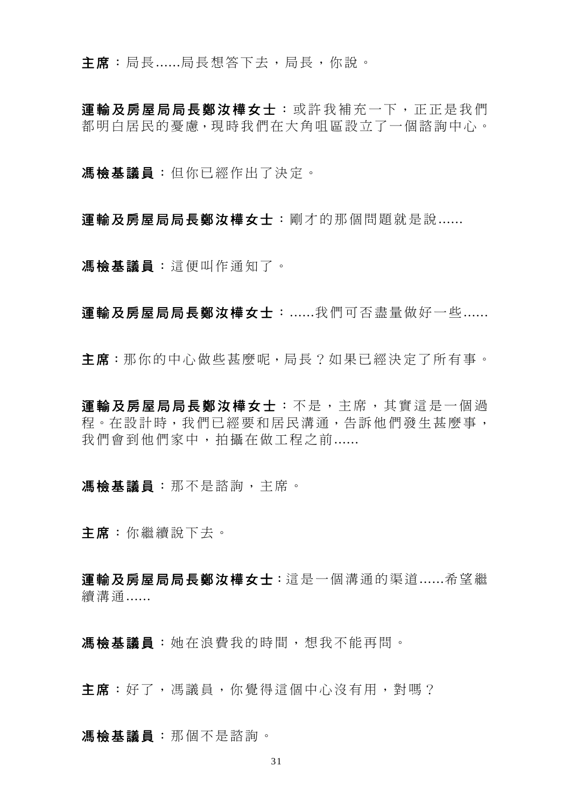主席:局長......局長想答下去,局長,你說。

軍輪及房屋局局長鄭汝樺女士:或許我補充一下,正正是我們 都明白居民的憂慮,現時我們在大角咀區設立了一個諮詢中心。

馮檢基議員:但你已經作出了決定。

運輸及房屋局局長鄭汝樺女士:剛才的那個問題就是說 ......

馮檢基議員:這便叫作通知了。

運輸及房屋局局長鄭汝樺女士:......我們可否盡量做好一些 ......

主席:那你的中心做些甚麼呢,局長?如果已經決定了所有事。

軍輪及房屋局局長鄭汝樺女士 : 不是, 主席, 其實這是一個過 程。在設計時,我們已經要和居民溝通,告訴他們發生甚麼事, 我們會到他們家中,拍攝在做工程之前......

馮檢基議員:那不是諮詢,主席。

主席:你繼續說下去。

運輸及房屋局局長鄭汝樺女士:這是一個溝通的渠道......希望繼 續溝通......

馮檢基議員:她在浪費我的時間,想我不能再問。

主席:好了,馮議員,你覺得這個中心沒有用,對嗎?

馮檢基議員:那個不是諮詢。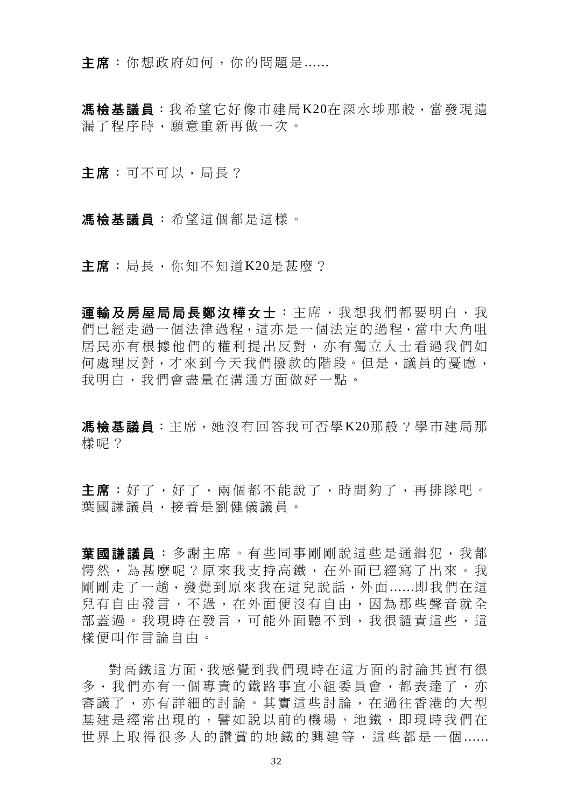主席:你想政府如何,你的問題是......

馮檢基議員:我希望它好像市建局K20在深水埗那般,當發現遺 漏了程序時,願意重新再做一次。

主席:可不可以,局長?

馮檢基議員:希望這個都是這樣。

主席: 局長, 你知不知道K20是甚麼?

軍輸及房屋局局長鄭汝樺女士:主席,我想我們都要明白,我 們已經走過一個法律過程,這亦是一個法定的過程,當中大角咀 居民亦有根據他們的權利提出反對,亦有獨立人士看過我們如 何處理反對,才來到今天我們撥款的階段。但是,議員的憂慮, 我明白,我們會盡量在溝通方面做好一點。

馮檢基議員:主席,她沒有回答我可否學K20那般?學市建局那 樣呢?

主席:好了,好了,兩個都不能說了,時間夠了,再排隊吧。 葉國謙議員,接着是劉健儀議員。

葉國謙議員 :多謝主席。有些同事剛剛說這些是通緝犯,我都 愕然,為甚麼呢?原來我支持高鐵,在外面已經寫了出來。我 剛剛走了一趟,發覺到原來我在這兒說話,外面......即我們在這 兒有自由發言,不過,在外面便沒有自由,因為那些聲音就全 部蓋過。我現時在發言,可能外面聽不到,我很譴責這些,這 樣便叫作言論自由。

對高鐵這方面,我感覺到我們現時在這方面的討論其實有很 多,我們亦有一個專責的鐵路事宜小組委員會,都表達了,亦 審議了,亦有詳細的討論。其實這些討論,在過往香港的大型 基建是經常出現的,譬如說以前的機場、地鐵,即現時我們在 世界上取得很多人的讚賞的地鐵的興建等,這些都是一個 ......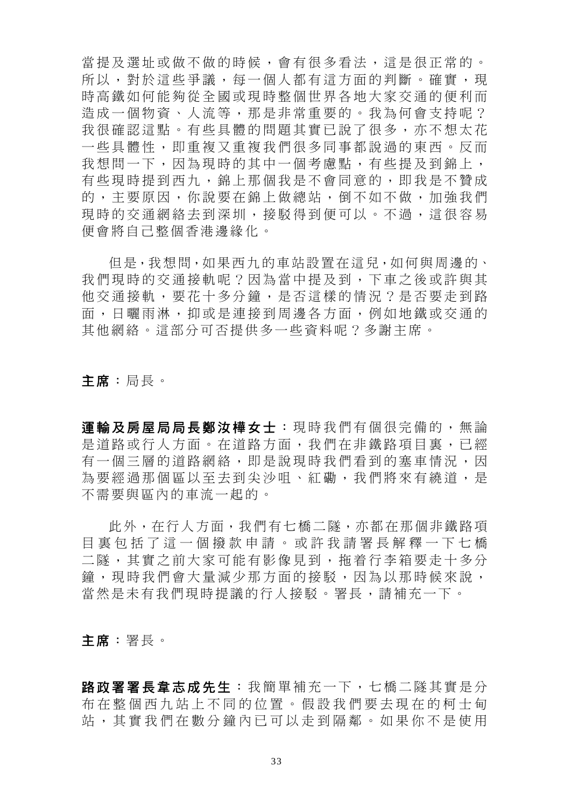當提及選址或做不做的時候,會有很多看法,這是很正常的。 所以,對於這些爭議,每一個人都有這方面的判斷。確實,現 時高鐵如何能夠從全國或現時整個世界各地大家交通的便利而 造成一個物資、人流等,那是非常重要的。我為何會支持呢? 我很確認這點。有些具體的問題其實已說了很多,亦不想太花 一些具體性,即重複又重複我們很多同事都說過的東西。反而 我想問一下,因為現時的其中一個考慮點,有些提及到錦上, 有些現時提到西九,錦上那個我是不會同意的,即我是不贊成 的,主要原因,你說要在錦上做總站,倒不如不做,加強我們 現時的交通網絡去到深圳,接駁得到便可以。不過,這很容易 便會將自己整個香港邊緣化。

但是,我想問,如果西九的車站設置在這兒,如何與周邊的、 我們現時的交通接軌呢?因為當中提及到,下車之後或許與其 他交通接軌,要花十多分鐘,是否這樣的情況?是否要走到路 面,日曬雨淋,抑或是連接到周邊各方面,例如地鐵或交通的 其他網絡。這部分可否提供多一些資料呢?多謝主席。

主席:局長。

運輸及房屋局局長鄭汝樺女士:現時我們有個很完備的,無論 是道路或行人方面。在道路方面,我們在非鐵路項目裏,已經 有一個三層的道路網絡,即是說現時我們看到的塞車情況,因 為要經過那個區以至去到尖沙咀、紅磡,我們將來有繞道,是 不需要與區內的車流一起的。

此外, 在行人方面, 我們有七橋二隧, 亦都在那個非鐵路項 目裏包括了這一個撥款申請。或許 我請署長解釋一下七橋 二隧,其實之前大家可能有影像見到,拖着行李箱要走十多分 鐘,現時我們會大量減少那方面的接駁,因為以那時候來說, 當然是未有我們現時提議的行人接駁。署長,請補充一下。

主席:署長。

路政署署長韋志成先生:我簡單補充一下,七橋二隊其實是分 布在整個西九站上不同的位置。假設我們要去現在的柯士甸 站,其實我們在數分鐘內已可以走到隔鄰。如果你不是使用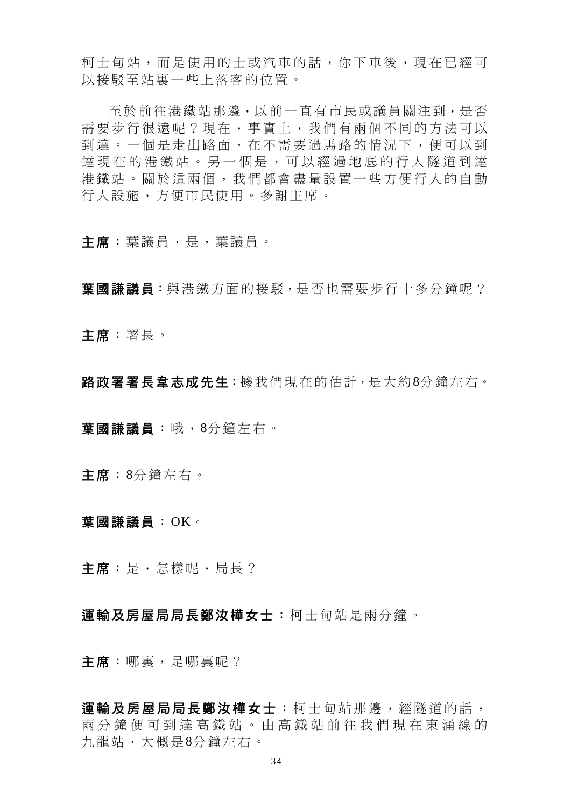柯士甸站,而是使用的士或汽車的話,你下車後,現在已經可 以接駁至站裏一些上落客的位置。

至於前往港鐵站那邊,以前一直有市民或議員關注到,是否 需要步行很遠呢?現在,事實上,我們有兩個不同的方法可以 到達。一個是走出路面,在不需要過馬路的情況下,便可以到 達現在的港鐵站。另一個是,可以經過地底的行人隧道到達 港鐵站。關於這兩個,我們都會盡量設置一些方便行人的自動 行人設施,方便市民使用。多謝主席。

主席:葉議員,是,葉議員。

葉國謙議員:與港鐵方面的接駁,是否也需要步行十多分鐘呢?

主席:署長。

路政署署長韋志成先生: 據我們現在的估計, 是大約8分鐘左右。

葉國謙議員:哦,8分鐘左右。

主席:8分鐘左右。

葉國謙議員:OK。

主席:是,怎樣呢,局長?

運輸及房屋局局長鄭汝樺女士:柯士甸站是兩分鐘。

主席:哪裏,是哪裏呢?

軍輪及房屋局局長鄭汝樺女士:柯十甸站那邊,經隊道的話, 兩分鐘便可到達高鐵站。由高鐵站 前往我們現在東涌線的 九龍站,大概是8分鐘左右。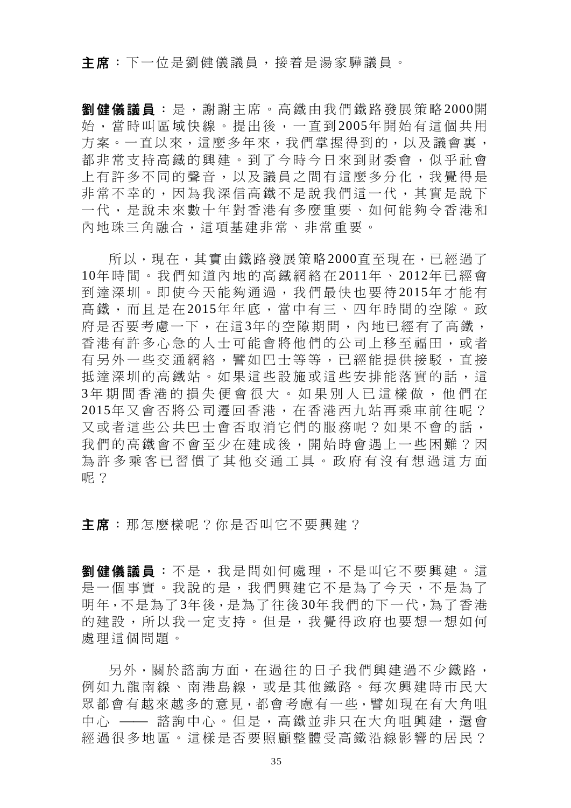主席:下一位是劉健儀議員,接着是湯家驊議員。

劉健儀議員:是,謝謝主席。高鐵由我們鐵路發展策略 2000開 始,當時叫區域快線。提出後,一直到 2005年開始有這個共用 方案。一直以來,這麼多年來,我們掌握得到的,以及議會裏, 都非常支持高鐵的興建。到了今時今日來到財委會,似乎社會 上有許多不同的聲音,以及議員之間有這麼多分化,我覺得是 非常不幸的,因為我深信高鐵不是說我們這一代,其實是說下 一代,是說未來數十年對香港有多麼重要、如何能夠令香港和 內地珠三角融合,這項基建非常、非常重要。

所以,現在,其實由鐵路發展策略2000直至現在,已經過了 10年時間。我們知道內地的高鐵網絡在 2011年 、 2012年已經會 到達深圳。即使今天能夠通過,我們最快也要待 2015年才能有 高鐵,而且是在 2015年年底,當中有三、四年時間的空隙。政 府是否要考慮一下,在這3年的空隙期間,內地已經有了高鐵, 香港有許多心急的人士可能會將他們的公司上移至福田,或者 有另外一些交通網絡,譬如巴士等等,已經能提供接駁,直接 抵達深圳的高鐵站。如果這些設施或這些安排能落實的話,這 3年期間香港的損失便會很大。如果別人已這樣做,他們在 2015年又會否將公司遷回香港,在香港西九站再乘車前往呢? 又或者這些公共巴士會否取消它們的服務呢?如果不會的話, 我們的高鐵會不會至少在建成後,開始時會遇上一些困難?因 為許多乘客已習慣了其他交通工具。政府有沒有想過這方面 呢?

主席:那怎麼樣呢?你是否叫它不要興建?

劉健儀議員:不是,我是問如何處理,不是叫它不要興建。這 是一個事實。我說的是,我們興建它不是為了今天,不是為了 明年,不是為了3年後,是為了往後30年我們的下一代,為了香港 的建設,所以我一定支持。但是,我覺得政府也要想一想如何 處理這個問題。

另外,關於諮詢方面,在過往的日子我們興建過不少鐵路, 例如九龍南線、南港島線,或是其他鐵路。每次興建時市民大 眾都會有越來越多的意見,都會考慮有一些,譬如現在有大角咀 中心 —— 諮詢中心。但是,高鐵並非只在大角咀興建,還會 經過很多地區。這樣是否要照顧整體受高鐵沿線影響的居民?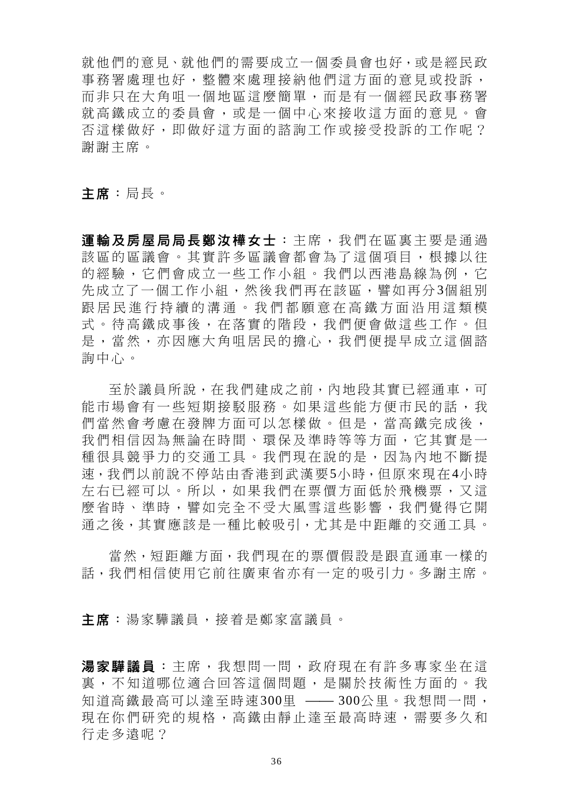就他們的意見、就他們的需要成立一個委員會也好,或是經民政 事務署處理也好,整體來處理接納他們這方面的意見或投訴, 而非只在大角咀一個地區這麼簡單,而是有一個經民政事務署 就高鐵成立的委員會,或是一個中心來接收這方面的意見。會 否這樣做好,即做好這方面的諮詢工作或接受投訴的工作呢? 謝謝主席。

主席:局長。

運輸及房屋局局長鄭汝樺女士:主席,我們在區裏主要是通過 該區的區議會。其實許多區議會都會為了這個項目,根據以往 的經驗,它們會成立一些工作小組。我們以西港島線為例,它 先成立了一個工作小組,然後我們再在該區,譬如再分3個組別 跟居民進行持續的溝通。我們都願意在高鐵方面沿用這類模 式。待高鐵成事後,在落實的階段,我們便會做這些工作。但 是,當然,亦因應大角咀居民的擔心,我們便提早成立這個諮 詢中心。

至於議員所說,在我們建成之前,內地段其實已經通車,可 能市場會有一些短期接駁服務。如果這些能方便市民的話,我 們當然會考慮在發牌方面可以怎樣做。但是,當高鐵完成後, 我們相信因為無論在時間、環保及準時等等方面,它其實是一 種很具競爭力的交通工具。我們現在說的是,因為內地不斷提 速,我們以前說不停站由香港到武漢要5小時,但原來現在4小時 左右已經可以。所以,如果我們在票價方面低於飛機票,又這 麼省時、準時,譬如完全不受大風雪這些影響,我們覺得它開 通之後,其實應該是一種比較吸引,尤其是中距離的交通工具。

當然,短距離方面,我們現在的票價假設是跟直通車一樣的 話,我們相信使用它前往廣東省亦有一定的吸引力。多謝主席。

主席:湯家驊議員,接着是鄭家富議員。

湯家驊議員:主席,我想問一問,政府現在有許多專家坐在這 裏,不知道哪位適合回答這個問題,是關於技術性方面的。我 知道高鐵最高可以達至時速300里 –– 300公里。我想問一問, 現在你們研究的規格,高鐵由靜止達至最高時速,需要多久和 行走多遠呢?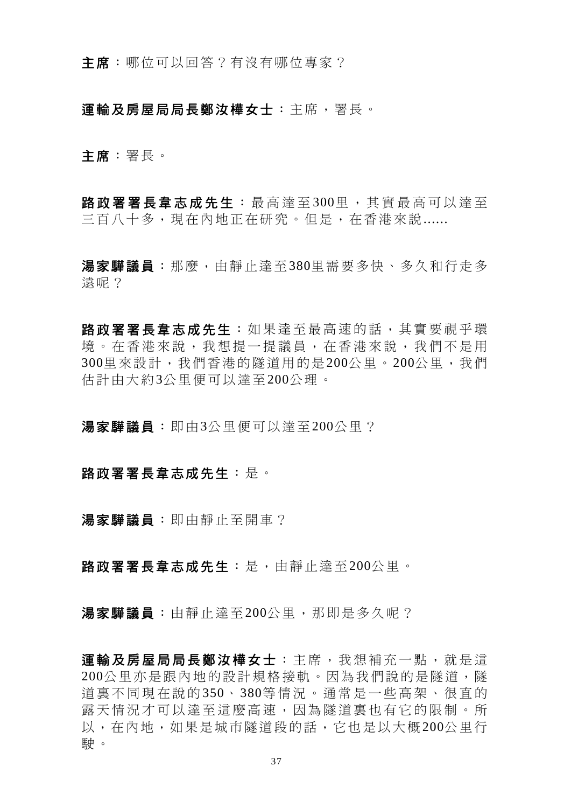主席:哪位可以回答?有沒有哪位專家?

### 運輸及房屋局局長鄭汝樺女士:主席,署長。

主席:署長。

路政署署長韋志成先生:最高達至300里,其實最高可以達至 三百八十多,現在內地正在研究。但是,在香港來說......

湯家驊議員:那麼,由靜止達至380里需要多快、多久和行走多 遠呢?

路政署署長韋志成先生:如果達至最高速的話,其實要視乎環 境。在香港來說,我想提一提議員,在香港來說,我們不是用 300里來設計,我們香港的隧道用的是200公里。200公里,我們 估計由大約3公里便可以達至200公理。

湯家驊議員:即由3公里便可以達至200公里?

#### 路政署署長韋志成先生:是。

湯家驊議員:即由靜止至開車?

路政署署長韋志成先生:是,由靜止達至200公里。

湯家驊議員:由靜止達至200公里,那即是多久呢?

運輸及房屋局局長鄭汝樺女士:主席,我想補充一點,就是這 200公里亦是跟內地的設計規格接軌。因為我們說的是隧道,隧 道裏不同現在說的 350、 380等情況。通常是一些高架、很直的 露天情況才可以達至這麼高速,因為隧道裏也有它的限制。所 以,在內地,如果是城市隧道段的話,它也是以大概200公里行 駛。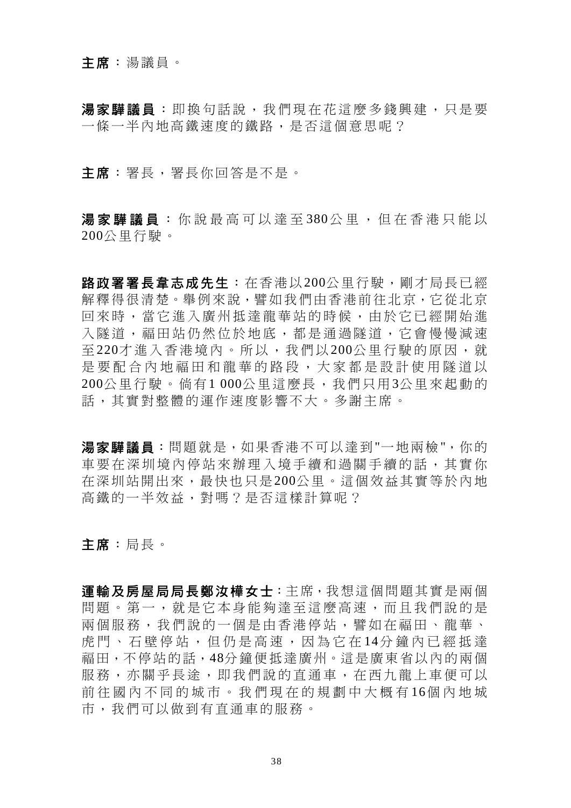## 主席:湯議員。

湯家驊議員:即換句話說,我們現在花這麼多錢興建,只是要 一條一半內地高鐵速度的鐵路,是否這個意思呢?

#### 主席:署長,署長你回答是不是。

湯家驊議員:你說最高可以達至380公里,但在香港只能以 200公里行駛。

路政署署長韋志成先生:在香港以200公里行駛,剛才局長已經 解釋得很清楚。舉例來說,譬如我們由香港前往北京,它從北京 回來時,當它進入廣州抵達龍華站的時候,由於它已經開始進 入隊道,福田站仍然位於地底,都是涌過隊道,它會慢慢減速 至 220才進入香港境內。所以,我們以 200公里行駛的原因,就 是要配合內地福田和龍華的路段,大家都是設計使用隧道以 200公里行駛。倘有1 000公里這麼長,我們只用3公里來起動的 話,其實對整體的運作速度影響不大。多謝主席。

湯家驊議員:問題就是,如果香港不可以達到"一地兩檢",你的 車要在深圳境內停站來辦理入境手續和過關手續的話,其實你 在深圳站開出來,最快也只是200公里。這個效益其實等於內地 高鐵的一半效益,對嗎?是否這樣計算呢?

主席:局長。

運輸及房屋局局長鄭汝樺女士:主席,我想這個問題其實是兩個 問題。第一,就是它本身能夠達至這麼高速,而且我們說的是 兩個服務,我們說的一個是由香港停站,譬如在福田、龍華、 虎門、石壁停站,但仍是高速,因為它在14分鐘內已經抵達 福田,不停站的話,48分鐘便抵達廣州。這是廣東省以內的兩個 服務,亦關乎長涂,即我們說的直通車,在西九龍上車便可以 前往國內不同的城市。我們現在的規劃中大概有 16個內地城 市,我們可以做到有直通車的服務。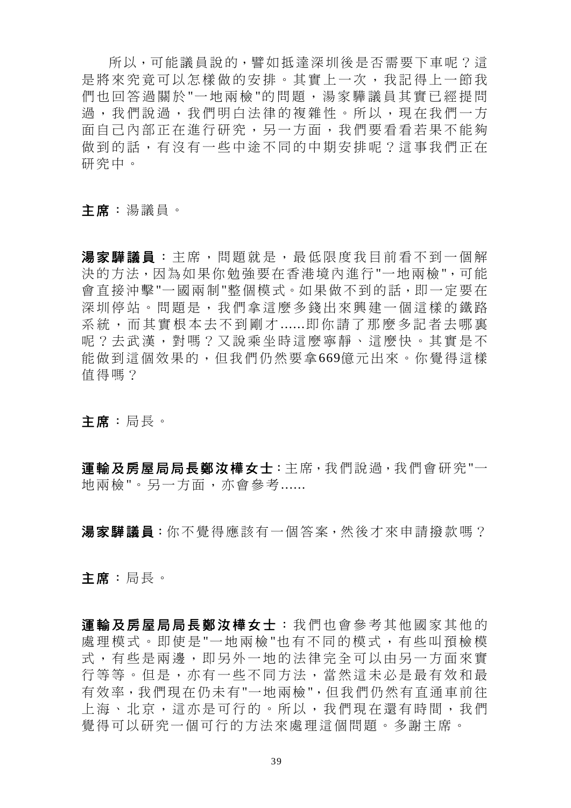所以,可能議員說的,譬如抵達深圳後是否需要下車呢?這 是將來究竟可以怎樣做的安排。其實上一次,我記得上一節我 們也回答過關於"一地兩檢"的問題,湯家驊議員其實已經提問 過,我們說過,我們明白法律的複雜性。所以,現在我們一方 面自己內部正在進行研究,另一方面,我們要看看若果不能夠 做到的話,有沒有一些中途不同的中期安排呢?這事我們正在 研究中。

主席:湯議員。

湯家驊議員:主席,問題就是,最低限度我目前看不到一個解 決的方法,因為如果你勉強要在香港境內進行"一地兩檢",可能 會直接沖擊"一國兩制"整個模式。如果做不到的話,即一定要在 深圳停站。問題是,我們拿這麼多錢出來興建一個這樣的鐵路 系統,而其實根本去不到剛才 ......即你請了那麼多記者去哪裏 呢?去武漢,對嗎?又說乘坐時這麼寧靜、這麼快。其實是不 能做到這個效果的,但我們仍然要拿669億元出來。你覺得這樣 值得嗎?

主席:局長。

運輸及房屋局局長鄭汝樺女士:主席,我們說過,我們會研究"一 地兩檢"。另一方面,亦會參考......

湯家驊議員:你不覺得應該有一個答案,然後才來申請撥款嗎?

主席:局長。

軍輪及房屋局局長鄭汝樺女士:我們也會參考其他國家其他的 處理模式。即使是"一地兩檢"也有不同的模式,有些叫預檢模 式,有些是兩邊,即另外一地的法律完全可以由另一方面來實 行等等。但是,亦有一些不同方法,當然這未必是最有效和最 有效率,我們現在仍未有"一地兩檢",但我們仍然有直通車前往 上海、北京,這亦是可行的。所以,我們現在還有時間,我們 覺得可以研究一個可行的方法來處理這個問題。多謝主席。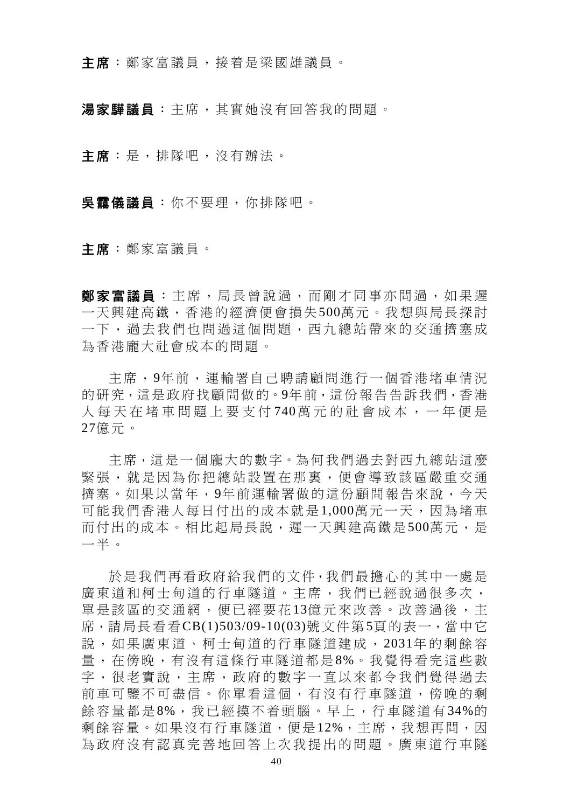主席: 鄭家富議員, 接着是梁國雄議員。

湯家驊議員:主席,其實她沒有回答我的問題。

主席:是,排隊吧,沒有辦法。

吳靄儀議員:你不要理,你排隊吧。

主席:鄭家富議員。

**鄭家富議員**:主席,局長曾說過,而剛才同事亦問過,如果遲 一天興建高鐵,香港的經濟便會損失500萬元。我想與局長探討 一下,過去我們也問過這個問題,西九總站帶來的交通擠塞成 為香港龐大社會成本的問題。

主席,9年前,運輸署自己聘請顧問進行一個香港堵車情況 的研究,這是政府找顧問做的。9年前,這份報告告訴我們,香港 人每天在堵車問題上要支付 740 萬元的社會成本,一年便是 27億元。

主席,這是一個龐大的數字。為何我們過去對西九總站這麼 緊張,就是因為你把總站設置在那裏,便會導致該區嚴重交通 擠塞。如果以當年,9年前運輸署做的這份顧問報告來說,今天 可能我們香港人每日付出的成本就是1,000萬元一天,因為堵車 而付出的成本。相比起局長說,遲一天興建高鐵是500萬元,是 一半。

於是我們再看政府給我們的文件,我們最擔心的其中一處是 廣東道和柯士甸道的行車隧道。主席,我們已經說過很多次, 單是該區的交通網,便已經要花13億元來改善。改善過後,主 席,請局長看看CB(1)503/09-10(03)號文件第5頁的表一,當中它 說,如果廣東道、柯士甸道的行車隧道建成, 2031年的剩餘容 量,在傍晚,有沒有這條行車隧道都是8%。我覺得看完這些數 字,很老實說,主席,政府的數字一直以來都令我們覺得過去 前車可鑒不可盡信。你單看這個,有沒有行車隧道,傍晚的剩 餘容量都是8%,我已經摸不着頭腦。早上,行車隧道有34%的 剩餘容量。如果沒有行車隧道,便是12%,主席,我想再問,因 為政府沒有認真完善地回答上次我提出的問題。廣東道行車隧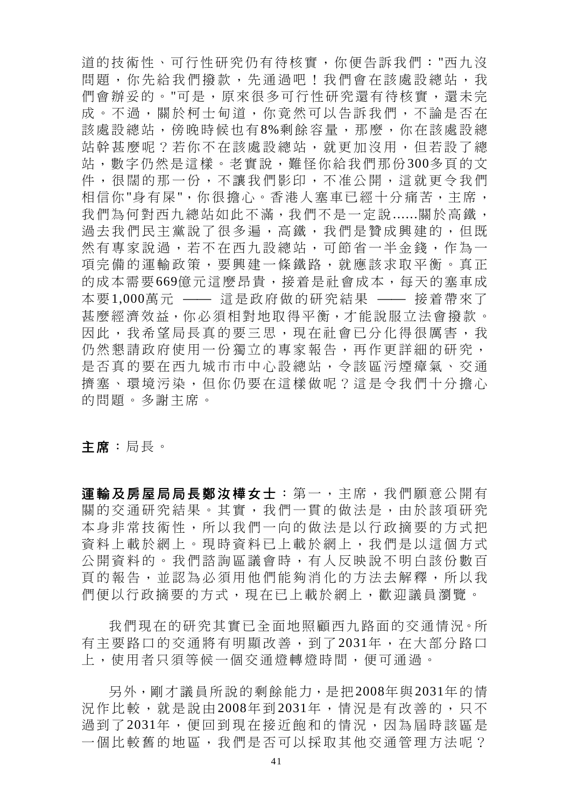道的技術性、可行性研究仍有待核實,你便告訴我們:"西九沒 問題,你先給我們撥款,先通過吧!我們會在該處設總站,我 們會辦妥的。"可是,原來很多可行性研究還有待核實,還未完 成。不過,關於柯士甸道,你竟然可以告訴我們,不論是否在 該處設總站,傍晚時候也有8%剩餘容量,那麼,你在該處設總 站幹甚麼呢?若你不在該處設總站,就更加沒用,但若設了總 站,數字仍然是這樣。老實說,難怪你給我們那份300多頁的文 件,很闊的那一份,不讓我們影印,不准公開,這就更令我們 相信你"身有屎",你很擔心。香港人塞車已經十分痛苦,主席, 我們為何對西九總站如此不滿,我們不是一定說......關於高鐵, 過去我們民主黨說了很多遍,高鐵,我們是贊成興建的,但既 然有專家說過,若不在西九設總站,可節省一半金錢,作為一 項完備的運輸政策,要興建一條鐵路,就應該求取平衡。真正 的成本需要669億元這麼昂貴,接着是社會成本,每天的塞車成 本要1,000萬元 —— 這是政府做的研究結果 —— 接着帶來了 甚麼經濟效益,你必須相對地取得平衡,才能說服立法會撥款。 因此,我希望局長真的要三思,現在社會已分化得很厲害,我 仍然懇請政府使用一份獨立的專家報告,再作更詳細的研究, 是否真的要在西九城市市中心設總站,令該區污煙瘴氣、交通 擠塞、環境污染,但你仍要在這樣做呢?這是令我們十分擔心 的問題。多謝主席。

主席:局長。

運輸及房屋局局長鄭汝樺女士:第一,主席,我們願意公開有 關的交通研究結果。其實,我們一貫的做法是,由於該項研究 本身非常技術性,所以我們一向的做法是以行政摘要的方式把 資料上載於網上。現時資料已上載於網上,我們是以這個方式 公開資料的。我們諮詢區議會時,有人反映說不明白該份數百 頁的報告,並認為必須用他們能夠消化的方法去解釋,所以我 們便以行政摘要的方式,現在已上載於網上,歡迎議員瀏覽。

我們現在的研究其實已全面地照顧西九路面的交通情況。所 有主要路口的交通將有明顯改善,到了2031年,在大部分路口 上,使用者只須等候一個交通燈轉燈時間,便可通過。

另外,剛才議員所說的剩餘能力,是把2008年與2031年的情 況作比較, 就是說由 2008年到 2031年, 情況是有改善的, 只不 過到了2031年,便回到現在接近飽和的情況,因為屆時該區是 一個比較舊的地區,我們是否可以採取其他交通管理方法呢?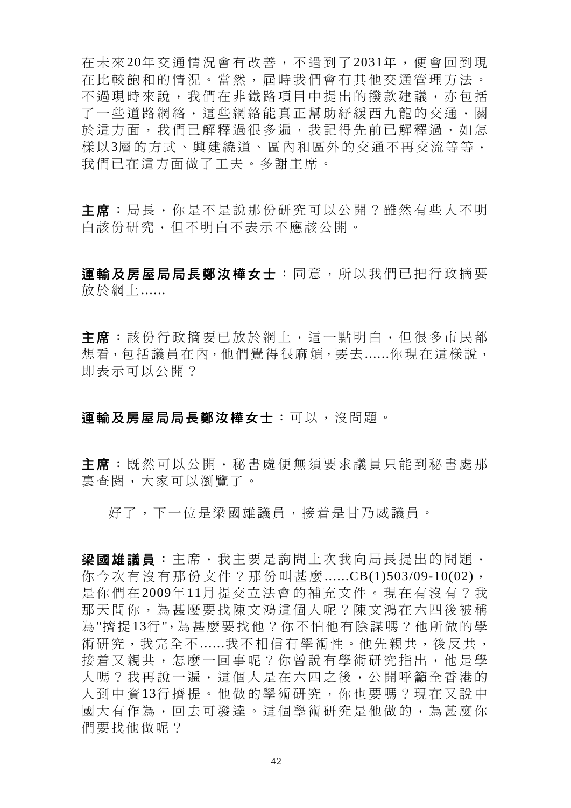在未來 20年交通情況會有改善,不過到了 2031年,便會回到現 在比較飽和的情況。當然,屆時我們會有其他交通管理方法。 不過現時來說,我們在非鐵路項目中提出的撥款建議,亦包括 了一些道路網絡,這些網絡能真正幫助紓緩西九龍的交通,關 於這方面,我們已解釋過很多遍,我記得先前已解釋過,如怎 樣以3層的方式、興建繞道、區內和區外的交通不再交流等等, 我們已在這方面做了工夫。多謝主席。

主席:局長,你是不是說那份研究可以公開?雖然有些人不明 白該份研究,但不明白不表示不應該公開。

運輸及房屋局局長鄭汝樺女士:同意,所以我們已把行政摘要 放於網上......

主席:該份行政摘要已放於網上,這一點明白,但很多市民都 想看,包括議員在內,他們覺得很麻煩,要去......你現在這樣說, 即表示可以公開?

## 運輸及房屋局局長鄭汝樺女士:可以,沒問題。

主席:既然可以公開,秘書處便無須要求議員只能到秘書處那 裏查閱,大家可以瀏覽了。

好了,下一位是梁國雄議員,接是甘乃威議員。

梁國雄議員:主席,我主要是詢問上次我向局長提出的問題, 你今次有沒有那份文件?那份叫甚麼 ......CB(1)503/09-10(02), 是你們在 2009年 11月提交立法會的補充文件。現在有沒有?我 那天問你,為甚麼要找陳文鴻這個人呢?陳文鴻在六四後被稱 為"擠提13行",為甚麼要找他?你不怕他有陰謀嗎?他所做的學 術研究,我完全不......我不相信有學術性。他先親共,後反共, 接着又親共,怎麼一回事呢?你曾說有學術研究指出,他是學 人嗎?我再說一遍,這個人是在六四之後,公開呼籲全香港的 人到中資 13行擠提。他做的學術研究,你也要嗎?現在又說中 國大有作為,回去可發達。這個學術研究是他做的,為甚麼你 們要找他做呢?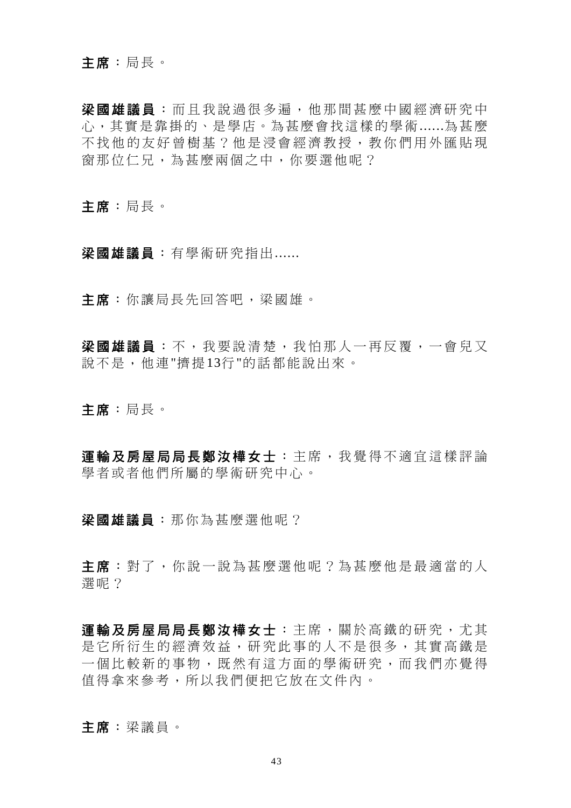### 主席:局長。

梁國雄議員:而且我說過很多遍,他那間甚麼中國經濟研究中 心,其實是靠掛的、是學店。為甚麼會找這樣的學術......為甚麼 不找他的友好曾樹基?他是浸會經濟教授,教你們用外匯貼現 窗那位仁兄,為甚麼兩個之中,你要選他呢?

主席:局長。

梁國雄議員:有學術研究指出......

主席:你讓局長先回答吧,梁國雄。

梁國雄議員:不,我要說清楚,我怕那人一再反覆,一會兒又 說不是,他連"擠提13行"的話都能說出來。

主席:局長。

軍輪及房屋局局長鄭汝樺女士:主席,我覺得不適宜這樣評論 學者或者他們所屬的學術研究中心。

梁國雄議員:那你為甚麼選他呢?

主 席 :對了,你說一說為甚麼選他呢?為甚麼他是最適當的人 選呢?

運輸及房屋局局長鄭汝樺女士:主席,關於高鐵的研究,尤其 是它所衍生的經濟效益,研究此事的人不是很多,其實高鐵是 一個比較新的事物,既然有這方面的學術研究,而我們亦覺得 值得拿來參考,所以我們便把它放在文件內。

主席:梁議員。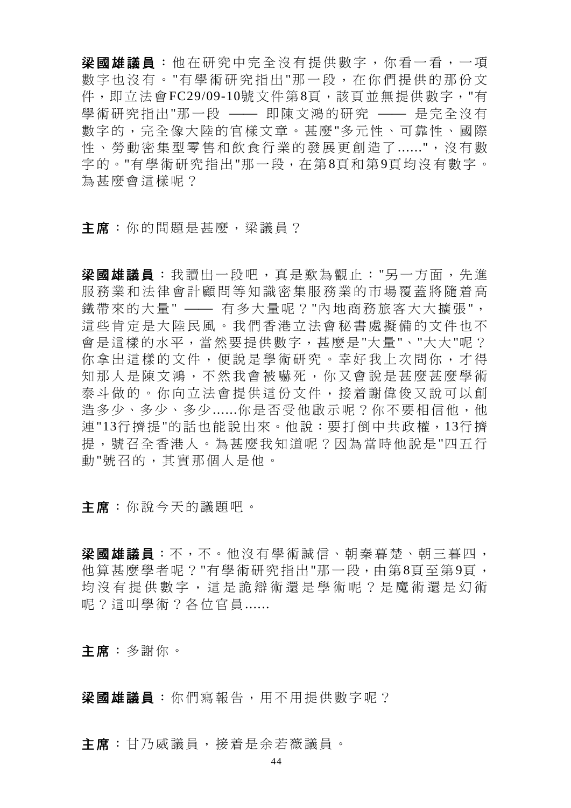梁國雄議員:他在研究中完全沒有提供數字,你看一看,一項 數字也沒有。 "有學術研究指出"那一段, 在你們提供的那份文 件,即立法會FC29/09-10號文件第8頁,該頁並無提供數字,"有 學術研究指出"那一段 —— 即陳文鴻的研究 —— 是完全沒有 數字的,完全像大陸的官樣文章。甚麼"多元性、可靠性、國際 性、勞動密集型零售和飲食行業的發展更創造了......",沒有數 字的。"有學術研究指出"那一段,在第8頁和第9頁均沒有數字。 為甚麼會這樣呢?

主席:你的問題是甚麼,梁議員?

梁國雄議員:我讀出一段吧,真是歎為觀止:"另一方面,先進 服務業和法律會計顧問等知識密集服務業的市場覆蓄將隨着高 鐵帶來的大量" —— 有多大量呢?"內地商務旅客大大擴張", 這些肯定是大陸民風。我們香港立法會秘書處擬備的文件也不 會是這樣的水平,當然要提供數字,甚麼是"大量"、"大大"呢? 你拿出這樣的文件,便說是學術研究。幸好我上次問你,才得 知那人是陳文鴻,不然我會被嚇死,你又會說是甚麼甚麼學術 泰斗做的。你向立法會提供這份文件,接着謝偉俊又說可以創 造多少、多少......你是否受他啟示呢?你不要相信他,他 連"13行擠提"的話也能說出來。他說:要打倒中共政權,13行擠 提,號召全香港人。為甚麼我知道呢?因為當時他說是"四五行 動"號召的,其實那個人是他。

主席:你說今天的議題吧。

梁國雄議員:不,不。他沒有學術誠信、朝秦暮楚、朝三暮四, 他算甚麼學者呢?"有學術研究指出"那一段,由第8頁至第9頁, 均沒有提供數字,這是詭辯術還是學術呢?是魔術還是幻術 呢?這叫學術?各位官員......

主席:多謝你。

梁國雄議員: 你們寫報告, 用不用提供數字呢?

主席:甘乃威議員,接着是余若薇議員。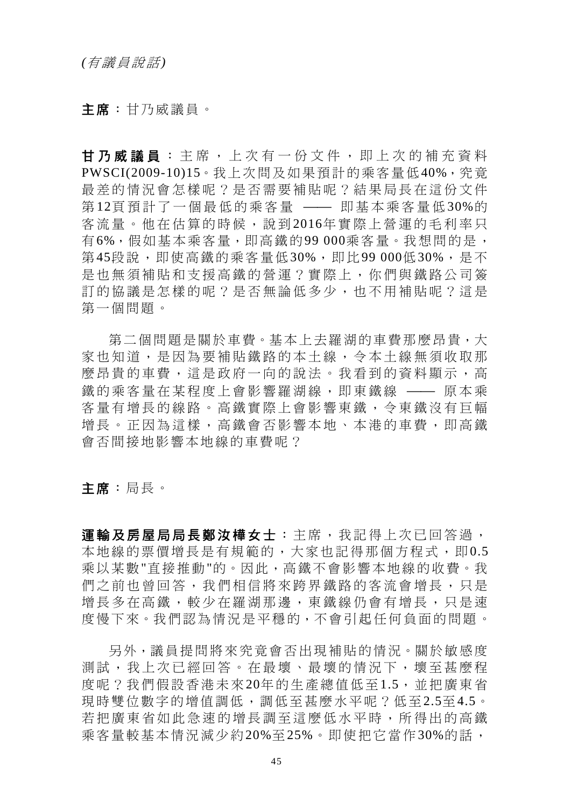主席:甘乃威議員。

甘乃威議員 :主席,上次有一份文件,即上次的補充資料 PWSCI(2009-10)15。我上次問及如果預計的乘客量低40%,究竟 最差的情況會怎樣呢?是否需要補貼呢?結果局長在這份文件 第12頁預計了一個最低的乘客量 —— 即基本乘客量低30%的 客流量。他在估算的時候,說到 2016年實際上營運的毛利率只 有6%,假如基本乘客量,即高鐵的99 000乘客量。我想問的是, 第45段說,即使高鐵的乘客量低30%,即比99 000低30%,是不 是也無須補貼和支援高鐵的營運?實際上,你們與鐵路公司簽 訂的協議是怎樣的呢?是否無論低多少,也不用補貼呢?這是 第一個問題。

第二個問題是關於車費。基本上去羅湖的車費那麼昂貴,大 家也知道,是因為要補貼鐵路的本土線,令本土線無須收取那 麼昂貴的車費,這是政府一向的說法。我看到的資料顯示,高 鐵的乘客量在某程度上會影響羅湖線,即東鐵線 —— 原本乘 客量有增長的線路。高鐵實際上會影響東鐵,令東鐵沒有巨幅 增長。正因為這樣,高鐵會否影響本地、本港的車費,即高鐵 會否間接地影響本地線的車費呢?

主席:局長。

運輸及房屋局局長鄭汝樺女士:主席,我記得上次已回答過, 本地線的票價增長是有規範的,大家也記得那個方程式,即0.5 乘以某數"直接推動"的。因此,高鐵不會影響本地線的收費。我 們之前也曾回答,我們相信將來跨界鐵路的客流會增長,只是 增長多在高鐵,較少在羅湖那邊,東鐵線仍會有增長,只是速 度慢下來。我們認為情況是平穩的,不會引起任何負面的問題。

另外,議員提問將來究竟會否出現補貼的情況。關於敏感度 測試,我上次已經回答。在最壞、最壞的情況下,壞至甚麼程 度呢?我們假設香港未來20年的生產總值低至1.5,並把廣東省 現時雙位數字的增值調低,調低至甚麼水平呢?低至2.5至4.5。 若把廣東省如此急速的增長調至這麼低水平時,所得出的高鐵 乘客量較基本情況減少約20%至25%。即使把它當作30%的話,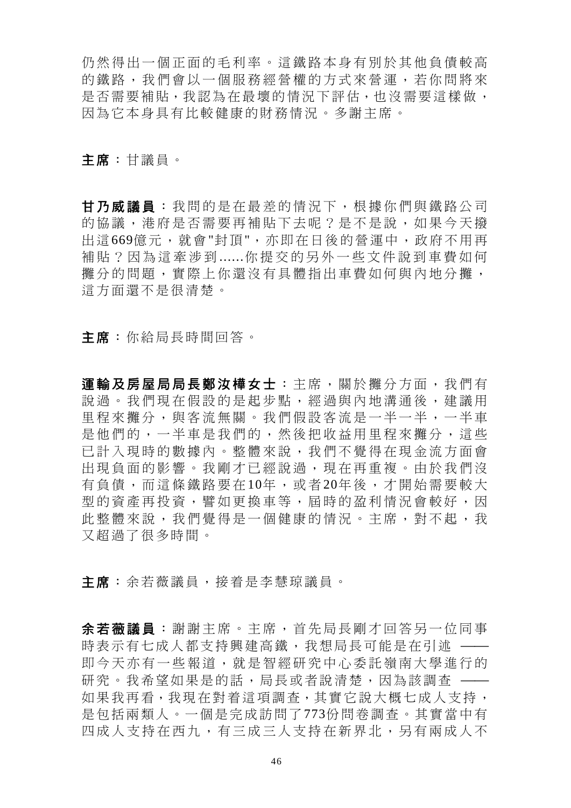仍然得出一個正面的毛利率。這鐵路本身有別於其他負債較高 的鐵路,我們會以一個服務經營權的方式來營運,若你問將來 是否需要補貼,我認為在最壞的情況下評估,也沒需要這樣做, 因為它本身具有比較健康的財務情況。多謝主席。

主席:甘議員。

甘乃威議員 :我問的是在最差的情況下,根據你們與鐵路公司 的協議,港府是否需要再補貼下去呢?是不是說,如果今天撥 出這669億元,就會"封頂",亦即在日後的營運中,政府不用再 補貼?因為這牽涉到 ......你提交的另外一些文件說到車費如何 攤分的問題,實際上你還沒有具體指出車費如何與內地分攤, 這方面還不是很清楚。

主席:你給局長時間回答。

軍輪及房屋局局長鄭汝樺女士:主席,關於攤分方面,我們有 說過。我們現在假設的是起步點,經過與內地溝通後,建議用 里程來攤分,與客流無關。我們假設客流是一半一半,一半車 是他們的,一半車是我們的,然後把收益用里程來攤分,這些 已計入現時的數據內。整體來說,我們不覺得在現金流方面會 出現負面的影響。我剛才已經說過,現在再重複。由於我們沒 有負債,而這條鐵路要在 10年,或者 20年後,才開始需要較大 型的資產再投資,譬如更換車等,屆時的盈利情況會較好,因 此整體來說,我們覺得是一個健康的情況。主席,對不起,我 又超過了很多時間。

主席:余若薇議員,接着是李慧琼議員。

余若薇議員 :謝謝主席。主席,首先局長剛才回答另一位同事 時表示有七成人都支持興建高鐵,我想局長可能是在引述 —— 即今天亦有一些報道,就是智經研究中心委託嶺南大學進行的 研究。我希望如果是的話,局長或者說清楚,因為該調查 一 如果我再看,我現在對着這項調查,其實它說大概七成人支持, 是包括兩類人。一個是完成訪問了773份問卷調查。其實當中有 四成人支持在西九,有三成三人支持在新界北,另有兩成人不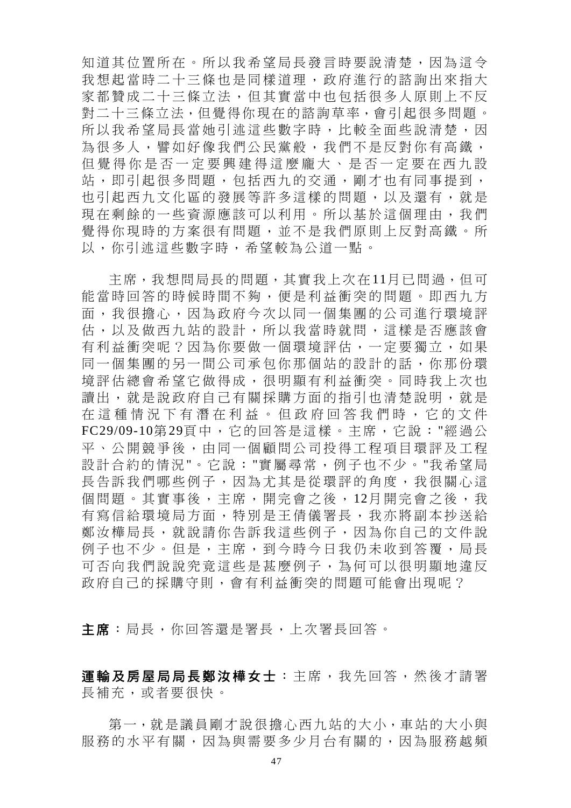知道其位置所在。所以我希望局長發言時要說清楚,因為這令 我想起當時二十三條也是同樣道理,政府進行的諮詢出來指大 家都贊成二十三條立法,但其實當中也包括很多人原則上不反 對二十三條立法,但覺得你現在的諮詢草率,會引起很多問題。 所以我希望局長當她引述這些數字時,比較全面些說清楚,因 為很多人,譬如好像我們公民黨般,我們不是反對你有高鐵, 但覺得你是否一定要興建得這麼龐大、是否一定要在西九設 站,即引起很多問題,包括西九的交通,剛才也有同事提到, 也引起西九文化區的發展等許多這樣的問題,以及還有,就是 現在剩餘的一些資源應該可以利用。所以基於這個理由,我們 覺得你現時的方案很有問題,並不是我們原則上反對高鐵。所 以,你引述這些數字時,希望較為公道一點。

主席,我想問局長的問題,其實我上次在11月已問過,但可 能當時回答的時候時間不夠,便是利益衝突的問題。即西九方 面,我很擔心,因為政府今次以同一個集團的公司進行環境評 估,以及做西九站的設計,所以我當時就問,這樣是否應該會 有利益衝突呢?因為你要做一個環境評估,一定要獨立,如果 同一個集團的另一間公司承包你那個站的設計的話,你那份環 境評估總會希望它做得成,很明顯有利益衝突。同時我上次也 讀出,就是說政府自己有關採購方面的指引也清楚說明,就是 在這種情況下有潛在利益。但政府 回答我們時,它的文件 FC29/09-10第29頁中,它的回答是這樣。主席,它說:"經過公 平、公開競爭後,由同一個顧問公司投得工程項目環評及工程 設計合約的情況"。它說:"實屬尋常,例子也不少。"我希望局 長告訴我們哪些例子,因為尤其是從環評的角度,我很關心這 個問題。其實事後, 主席, 開完會之後, 12月開完會之後, 我 有寫信給環境局方面,特別是王倩儀署長,我亦將副本抄送給 鄭汝樺局長,就說請你告訴我這些例子,因為你自己的文件說 例子也不少。但是,主席,到今時今日我仍未收到答覆,局長 可否向我們說說究竟這些是甚麼例子,為何可以很明顯地違反 政府自己的採購守則,會有利益衝突的問題可能會出現呢?

主席:局長,你回答還是署長,上次署長回答。

運輸及房屋局局長鄭汝樺女士:主席,我先回答,然後才請署 長補充,或者要很快。

第一,就是議員剛才說很擔心西九站的大小,車站的大小與 服務的水平有關,因為與需要多少月台有關的,因為服務越頻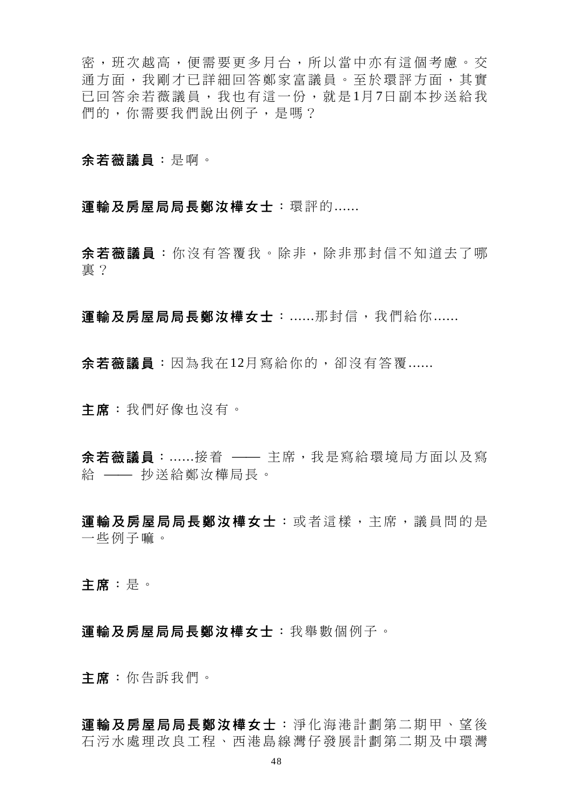密,班次越高,便需要更多月台,所以當中亦有這個考慮。交 通方面,我剛才已詳細回答鄭家富議員。至於環評方面,其實 已回答余若薇議員,我也有這一份,就是1月7日副本抄送給我 們的,你需要我們說出例子,是嗎?

余若薇議員:是啊。

## 軍輸及房屋局局長鄭汝樺女士:環評的......

余若薇議員 :你沒有答覆我。除非,除非那封信不知道去了哪 裏?

運輸及房屋局局長鄭汝樺女士:......那封信,我們給你......

余若薇議員:因為我在12月寫給你的,卻沒有答覆......

主席:我們好像也沒有。

余若薇議員:......接着 —— 主席,我是寫給環境局方面以及寫 給 —— 抄送給鄭汝樺局長。

軍輪及房屋局局長鄭汝樺女士:或者這樣,主席,議員問的是 一些例子嘛。

主席:是。

運輸及房屋局局長鄭汝樺女士:我舉數個例子。

主席:你告訴我們。

軍輸及房屋局局長鄭汝樺女士:淨化海港計劃第二期甲、望後 石污水處理改良工程、西港島線灣仔發展計劃第二期及中環灣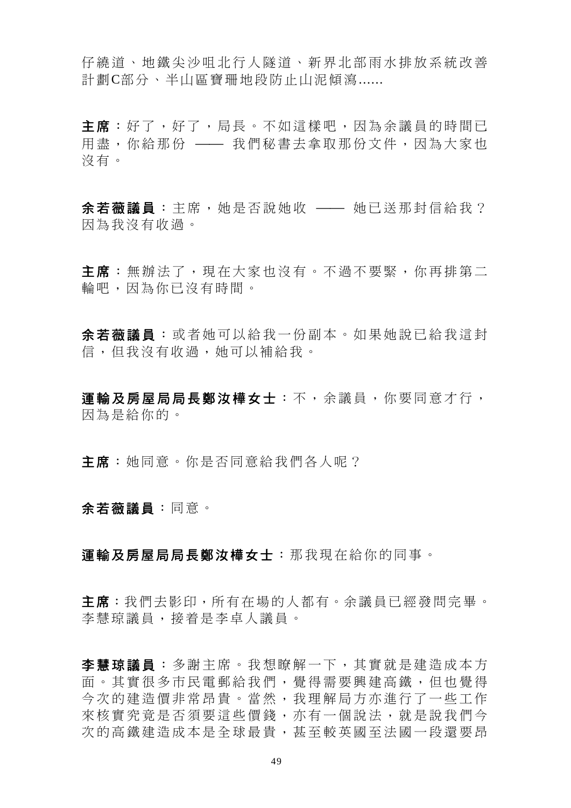仔繞道、地鐵尖沙咀北行人隧道、新界北部雨水排放系統改善 計劃C部分、半山區寶珊地段防止山泥傾瀉......

主席:好了,好了,局長。不如這樣吧,因為余議員的時間已 用盡,你給那份 —— 我們秘書去拿取那份文件,因為大家也 沒有。

余若薇議員:主席,她是否說她收 —— 她已送那封信給我? 因為我沒有收過。

主席:無辦法了,現在大家也沒有。不過不要緊,你再排第二 輪吧,因為你已沒有時間。

余若薇議員 :或者她可以給我一份副本。如果她說已給我這封 信,但我沒有收過,她可以補給我。

運輸及房屋局局長鄭汝樺女士:不,余議員,你要同意才行, 因為是給你的。

主席:她同意。你是否同意給我們各人呢?

余若薇議員:同意。

運輸及房屋局局長鄭汝樺女士:那我現在給你的同事。

主席:我們去影印,所有在場的人都有。余議員已經發問完畢。 李慧琼議員,接着是李卓人議員。

李慧琼議員 :多謝主席。我想瞭解一下,其實就是建造成本方 面。其實很多市民電郵給我們,覺得需要興建高鐵,但也覺得 今次的建造價非常昂貴。當然,我理解局方亦進行了一些工作 來核實究竟是否須要這些價錢,亦有一個說法,就是說我們今 次的高鐵建造成本是全球最貴,甚至較英國至法國一段還要昂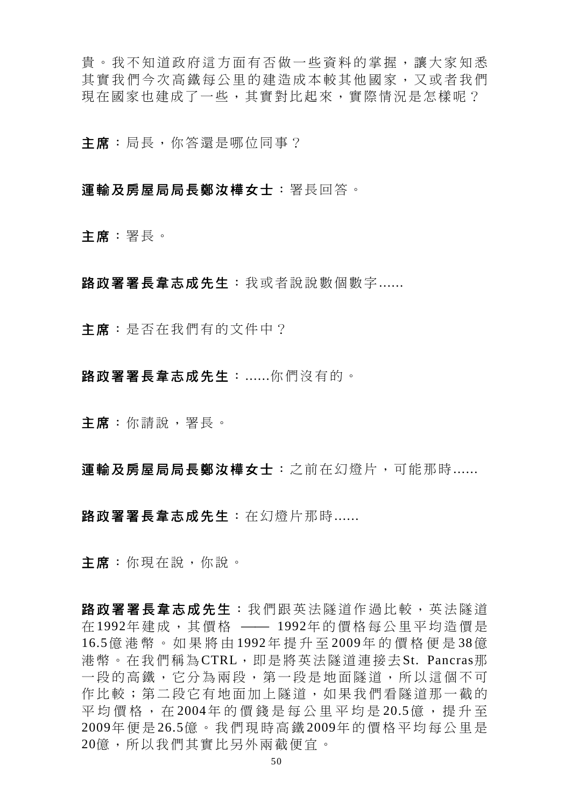貴。我不知道政府這方面有否做一些資料的掌握,讓大家知悉 其實我們今次高鐵每公里的建造成本較其他國家,又或者我們 現在國家也建成了一些,其實對比起來,實際情況是怎樣呢?

主席:局長,你答還是哪位同事?

## 運輸及房屋局局長鄭汝樺女士:署長回答。

主席:署長。

路政署署長韋志成先生:我或者說說數個數字......

主席:是否在我們有的文件中?

路政署署長韋志成先生:......你們沒有的。

主席:你請說,署長。

軍輪及房屋局局長鄭汝樺女士:之前在幻燈片,可能那時......

路政署署長韋志成先生: 在幻燈片那時......

主席:你現在說,你說。

路政署署長韋志成先生:我們跟英法隧道作過比較,英法隧道 在1992年建成,其價格 —— 1992年的價格每公里平均造價是 16.5億港幣。如果將由 1992年提升至 2009年的價格便是 38億 港幣。在我們稱為CTRL,即是將英法隧道連接去St. Pancras那 一段的高鐵,它分為兩段,第一段是地面隊道,所以這個不可 作比較;第二段它有地面加上隧道,如果我們看隧道那一截的 平均價格, 在 2004年的價錢是每公里平均是 20.5億, 提升至 2009年便是 26.5億。我們現時高鐵 2009年的價格平均每公里是 20億,所以我們其實比另外兩截便宜。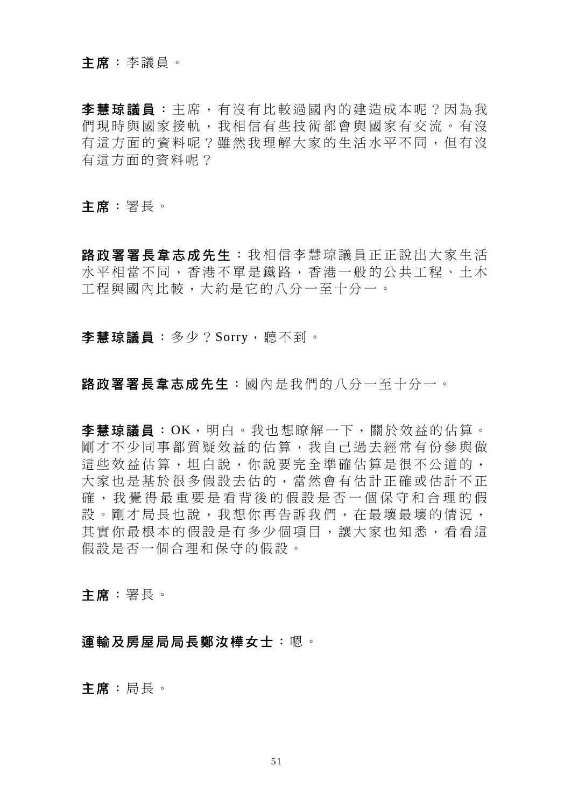### 主席:李議員。

李慧琼議員 :主席,有沒有比較過國內的建造成本呢?因為我 們現時與國家接軌,我相信有些技術都會與國家有交流。有沒 有這方面的資料呢?雖然我理解大家的生活水平不同,但有沒 有這方面的資料呢?

主席:署長。

路政署署長韋志成先生 : 我相信李慧琼議員正正說出大家生活 水平相當不同,香港不單是鐵路,香港一般的公共工程、土木 工程與國內比較,大約是它的八分一至十分一。

李慧琼議員:多少?Sorry,聽不到。

## 路政署署長韋志成先生:國內是我們的八分一至十分一。

李慧琼議員:OK,明白。我也想瞭解一下,關於效益的估算。 剛才不少同事都質疑效益的估算,我自己過去經常有份參與做 這些效益估算,坦白說,你說要完全準確估算是很不公道的, 大家也是基於很多假設去估的,當然會有估計正確或估計不正 確,我覺得最重要是看背後的假設是否一個保守和合理的假 設。剛才局長也說,我想你再告訴我們,在最壞最壞的情況, 其實你最根本的假設是有多少個項目,讓大家也知悉,看看這 假設是否一個合理和保守的假設。

主席:署長。

### 運輸及房屋局局長鄭汝樺女士:嗯。

主席:局長。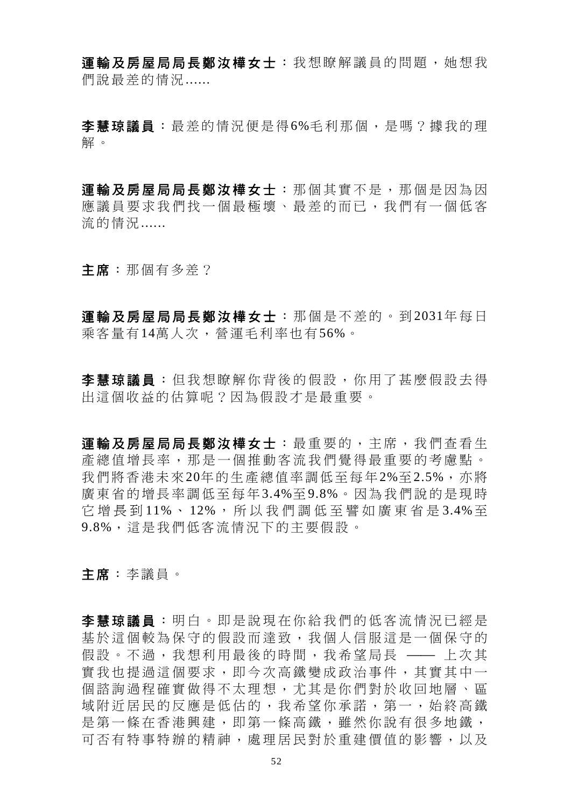軍輪及房屋局局長鄭汝樺女士:我想瞭解議員的問題,她想我 們說最差的情況......

李慧琼議員:最差的情況便是得6%毛利那個,是嗎?據我的理 解。

運輸及房屋局局長鄭汝樺女士: 那個其實不是, 那個是因為因 應議員要求我們找一個最極壞、最差的而已,我們有一個低客 流的情況......

主席:那個有多差?

軍輪及房屋局局長鄭汝樺女士: 那個是不差的。到2031年每日 乘客量有14萬人次,營運毛利率也有56%。

李慧琼議員:但我想瞭解你背後的假設,你用了甚麼假設去得 出這個收益的估算呢?因為假設才是最重要。

軍輸及房屋局局長鄭汝樺女士:最重要的,主席,我們杳看生 產總值增長率,那是一個推動客流我們覺得最重要的考慮點。 我們將香港未來20年的生產總值率調低至每年2%至2.5%,亦將 廣東省的增長率調低至每年3.4%至9.8%。因為我們說的是現時 它 增 長 到 11%、 12%, 所 以 我 們 調 低 至 譬 如 廣 東 省 是 3.4% 至 9.8%,這是我們低客流情況下的主要假設。

主席:李議員。

李慧琼議員 :明白。即是說現在你給我們的低客流情況已經是 基於這個較為保守的假設而達致,我個人信服這是一個保守的 假設。不過,我想利用最後的時間,我希望局長 —— 上次其 實我也提過這個要求,即今次高鐵變成政治事件,其實其中一 個諮詢過程確實做得不太理想,尤其是你們對於收回地層、區 域附近居民的反應是低估的,我希望你承諾,第一,始終高鐵 是第一條在香港興建,即第一條高鐵,雖然你說有很多地鐵, 可否有特事特辦的精神,處理居民對於重建價值的影響,以及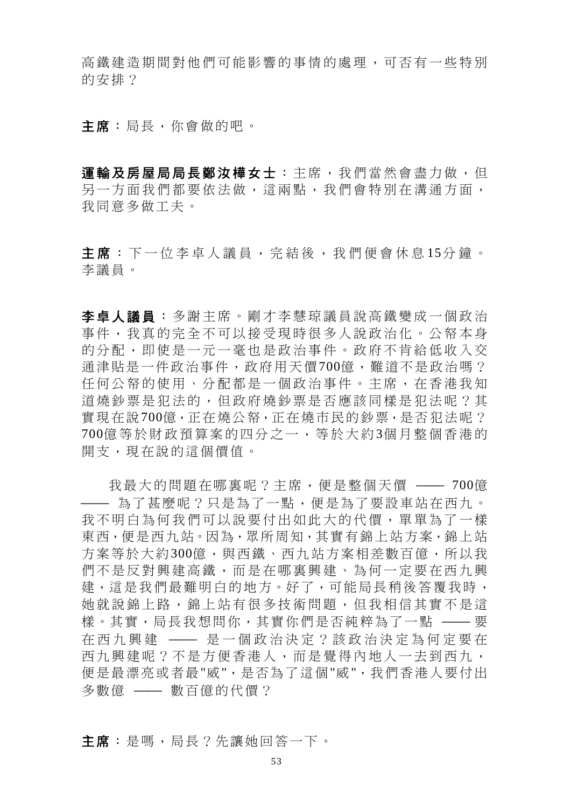高鐵建造期間對他們可能影響的事情的處理,可否有一些特別 的安排?

主席:局長,你會做的吧。

軍輪及房屋局局長鄭汝樺女士:主席,我們當然會盡力做,但 另一方面我們都要依法做,這兩點,我們會特別在溝通方面, 我同意多做工夫。

主席:下一位李卓人議員,完結後,我們便會休息15分鐘。 李議員。

李卓人議員 :多謝主席。剛才李慧琼議員說高鐵變成一個政治 事件,我真的完全不可以接受現時很多人說政治化。公帑本身 的分配,即使是一元一毫也是政治事件。政府不肯給低收入交 通津貼是一件政治事件,政府用天價700億,難道不是政治嗎? 任何公帑的使用、分配都是一個政治事件。主席,在香港我知 道燒鈔票是犯法的,但政府燒鈔票是否應該同樣是犯法呢?其 實現在說700億,正在燒公帑,正在燒市民的鈔票,是否犯法呢? 700億等於財政預算案的四分之一,等於大約 3個月整個香港的 開支,現在說的這個價值。

我最大的問題在哪裏呢?主席,便是整個天價 —— 700億 - 為了甚麼呢?只是為了一點,便是為了要設車站在西九。 我不明白為何我們可以說要付出如此大的代價,單單為了一樣 東西,便是西九站。因為,眾所周知,其實有錦上站方案,錦上站 方案等於大約300億,與西鐵、西九站方案相差數百億,所以我 們不是反對興建高鐵,而是在哪裏興建、為何一定要在西九興 建,這是我們最難明白的地方。好了,可能局長稍後答覆我時, 她就說錦上路,錦上站有很多技術問題,但我相信其實不是這 樣。其實,局長我想問你,其實你們是否純粹為了一點 —— 要 在西九興建 –– 是一個政治決定?該政治決定為何定要在 西九興建呢?不是方便香港人,而是覺得內地人一去到西九, 便是最漂亮或者最"威",是否為了這個"威",我們香港人要付出 多數億 –– 數百億的代價?

主席:是嗎,局長?先讓她回答一下。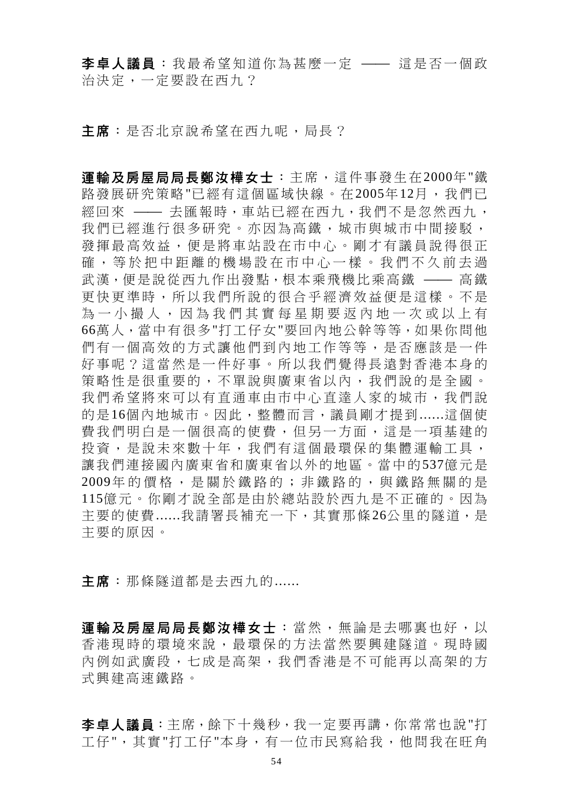李卓人議員:我最希望知道你為甚麼一定 —— 這是否一個政 治決定,一定要設在西九?

主席:是否北京說希望在西九呢,局長?

運輸及房屋局局長鄭汝樺女士:主席,這件事發生在2000年"鐵 路發展研究策略"已經有這個區域快線。在2005年12月,我們已 經回來 —— 去匯報時,車站已經在西九,我們不是忽然西九, 我們已經進行很多研究。亦因為高鐵,城市與城市中間接駁, 發揮最高效益,便是將車站設在市中心。剛才有議員說得很正 確,等於把中距離的機場設在市中心一樣。我們不久前去過 武漢,便是說從西九作出發點,根本乘飛機比乘高鐵 —— 高鐵 更快更準時,所以我們所說的很合乎經濟效益便是這樣。不是 為一小撮人,因為我們其實每星期要返內地一次或以上有 66萬人,當中有很多"打工仔女"要回內地公幹等等,如果你問他 們有一個高效的方式讓他們到內地工作等等,是否應該是一件 好事呢?這當然是一件好事。所以我們覺得長遠對香港本身的 策略性是很重要的,不單說與廣東省以內,我們說的是全國。 我們希望將來可以有直通車由市中心直達人家的城市,我們說 的是16個內地城市。因此,整體而言,議員剛才提到......這個使 費我們明白是一個很高的使費,但另一方面,這是一項基建的 投資,是說未來數十年,我們有這個最環保的集體運輸工具, 讓我們連接國內廣東省和廣東省以外的地區。當中的537億元是 2009年的價格,是關於鐵路的;非 鐵路的,與鐵路無關的是 115億元。你剛才說全部是由於總站設於西九是不正確的。因為 主要的使費......我請署長補充一下,其實那條26公里的隧道,是 主要的原因。

主席:那條隧道都是去西九的......

運輸及房屋局局長鄭汝樺女士:當然,無論是去哪裏也好,以 香港現時的環境來說,最環保的方法當然要興建隧道。現時國 內例如武廣段,七成是高架,我們香港是不可能再以高架的方 式興建高速鐵路。

李卓人議員:主席,餘下十幾秒,我一定要再講,你常常也說"打 工仔",其實"打工仔"本身,有一位市民寫給我,他問我在旺角